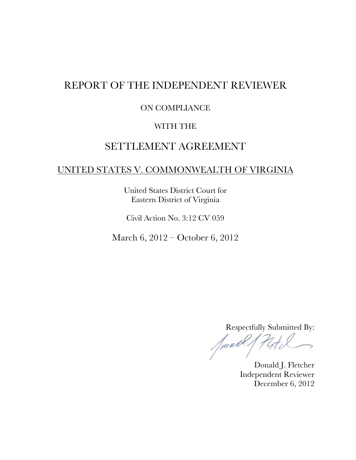## REPORT OF THE INDEPENDENT REVIEWER

#### ON COMPLIANCE

#### WITH THE

## SETTLEMENT AGREEMENT

#### UNITED STATES V. COMMONWEALTH OF VIRGINIA

United States District Court for Eastern District of Virginia

Civil Action No. 3:12 CV 059

March 6, 2012 – October 6, 2012

Respectfully Submitted By:

Junell

Donald J. Fletcher Independent Reviewer December 6, 2012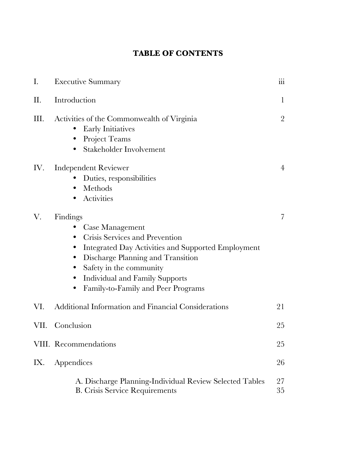## **TABLE OF CONTENTS**

| Ι.   | <b>Executive Summary</b>                                                                                                                                                                                                                                                                                                                                | 111            |
|------|---------------------------------------------------------------------------------------------------------------------------------------------------------------------------------------------------------------------------------------------------------------------------------------------------------------------------------------------------------|----------------|
| П.   | Introduction                                                                                                                                                                                                                                                                                                                                            | $\mathbf{1}$   |
| Ш.   | Activities of the Commonwealth of Virginia<br><b>Early Initiatives</b><br>Project Teams<br>$\bullet$<br>Stakeholder Involvement<br>٠                                                                                                                                                                                                                    | $\overline{2}$ |
| IV.  | <b>Independent Reviewer</b><br>Duties, responsibilities<br>Methods<br>$\bullet$<br>Activities<br>$\bullet$                                                                                                                                                                                                                                              | $\overline{4}$ |
| V.   | Findings<br><b>Case Management</b><br>Crisis Services and Prevention<br>$\bullet$<br>Integrated Day Activities and Supported Employment<br>$\bullet$<br>Discharge Planning and Transition<br>$\bullet$<br>Safety in the community<br>$\bullet$<br><b>Individual and Family Supports</b><br>$\bullet$<br>Family-to-Family and Peer Programs<br>$\bullet$ | $\overline{7}$ |
| VI.  | Additional Information and Financial Considerations                                                                                                                                                                                                                                                                                                     | 21             |
| VII. | Conclusion                                                                                                                                                                                                                                                                                                                                              | 25             |
|      | VIII. Recommendations                                                                                                                                                                                                                                                                                                                                   | 25             |
| IX.  | Appendices                                                                                                                                                                                                                                                                                                                                              | 26             |
|      | A. Discharge Planning-Individual Review Selected Tables<br><b>B.</b> Crisis Service Requirements                                                                                                                                                                                                                                                        | 27<br>35       |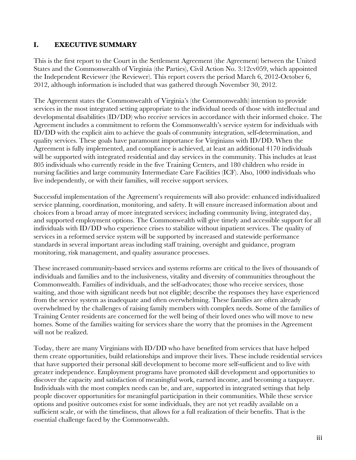#### **I. EXECUTIVE SUMMARY**

This is the first report to the Court in the Settlement Agreement (the Agreement) between the United States and the Commonwealth of Virginia (the Parties), Civil Action No. 3:12cv059, which appointed the Independent Reviewer (the Reviewer). This report covers the period March 6, 2012-October 6, 2012, although information is included that was gathered through November 30, 2012.

The Agreement states the Commonwealth of Virginia's (the Commonwealth) intention to provide services in the most integrated setting appropriate to the individual needs of those with intellectual and developmental disabilities (ID/DD) who receive services in accordance with their informed choice. The Agreement includes a commitment to reform the Commonwealth's service system for individuals with ID/DD with the explicit aim to achieve the goals of community integration, self-determination, and quality services. These goals have paramount importance for Virginians with ID/DD. When the Agreement is fully implemented, and compliance is achieved, at least an additional 4170 individuals will be supported with integrated residential and day services in the community. This includes at least 805 individuals who currently reside in the five Training Centers, and 180 children who reside in nursing facilities and large community Intermediate Care Facilities (ICF). Also, 1000 individuals who live independently, or with their families, will receive support services.

Successful implementation of the Agreement's requirements will also provide: enhanced individualized service planning, coordination, monitoring, and safety. It will ensure increased information about and choices from a broad array of more integrated services; including community living, integrated day, and supported employment options. The Commonwealth will give timely and accessible support for all individuals with ID/DD who experience crises to stabilize without inpatient services. The quality of services in a reformed service system will be supported by increased and statewide performance standards in several important areas including staff training, oversight and guidance, program monitoring, risk management, and quality assurance processes.

These increased community-based services and systems reforms are critical to the lives of thousands of individuals and families and to the inclusiveness, vitality and diversity of communities throughout the Commonwealth. Families of individuals, and the self-advocates; those who receive services, those waiting, and those with significant needs but not eligible; describe the responses they have experienced from the service system as inadequate and often overwhelming. These families are often already overwhelmed by the challenges of raising family members with complex needs. Some of the families of Training Center residents are concerned for the well being of their loved ones who will move to new homes. Some of the families waiting for services share the worry that the promises in the Agreement will not be realized.

Today, there are many Virginians with ID/DD who have benefited from services that have helped them create opportunities, build relationships and improve their lives. These include residential services that have supported their personal skill development to become more self-sufficient and to live with greater independence. Employment programs have promoted skill development and opportunities to discover the capacity and satisfaction of meaningful work, earned income, and becoming a taxpayer. Individuals with the most complex needs can be, and are, supported in integrated settings that help people discover opportunities for meaningful participation in their communities. While these service options and positive outcomes exist for some individuals, they are not yet readily available on a sufficient scale, or with the timeliness, that allows for a full realization of their benefits. That is the essential challenge faced by the Commonwealth.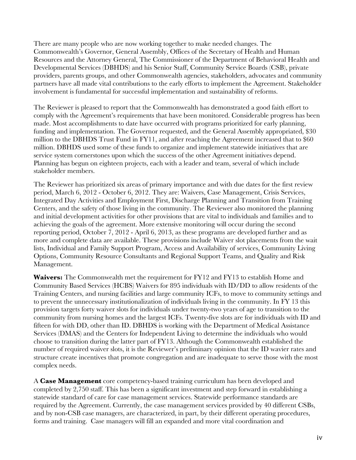There are many people who are now working together to make needed changes. The Commonwealth's Governor, General Assembly, Offices of the Secretary of Health and Human Resources and the Attorney General, The Commissioner of the Department of Behavioral Health and Developmental Services (DBHDS) and his Senior Staff, Community Service Boards (CSB), private providers, parents groups, and other Commonwealth agencies, stakeholders, advocates and community partners have all made vital contributions to the early efforts to implement the Agreement. Stakeholder involvement is fundamental for successful implementation and sustainability of reforms.

The Reviewer is pleased to report that the Commonwealth has demonstrated a good faith effort to comply with the Agreement's requirements that have been monitored. Considerable progress has been made. Most accomplishments to date have occurred with programs prioritized for early planning, funding and implementation. The Governor requested, and the General Assembly appropriated, \$30 million to the DBHDS Trust Fund in FY11, and after reaching the Agreement increased that to \$60 million. DBHDS used some of these funds to organize and implement statewide initiatives that are service system cornerstones upon which the success of the other Agreement initiatives depend. Planning has begun on eighteen projects, each with a leader and team, several of which include stakeholder members.

The Reviewer has prioritized six areas of primary importance and with due dates for the first review period, March 6, 2012 - October 6, 2012. They are: Waivers, Case Management, Crisis Services, Integrated Day Activities and Employment First, Discharge Planning and Transition from Training Centers, and the safety of those living in the community. The Reviewer also monitored the planning and initial development activities for other provisions that are vital to individuals and families and to achieving the goals of the agreement. More extensive monitoring will occur during the second reporting period, October 7, 2012 - April 6, 2013, as these programs are developed further and as more and complete data are available. These provisions include Waiver slot placements from the wait lists, Individual and Family Support Program, Access and Availability of services, Community Living Options, Community Resource Consultants and Regional Support Teams, and Quality and Risk Management.

**Waivers:** The Commonwealth met the requirement for FY12 and FY13 to establish Home and Community Based Services (HCBS) Waivers for 895 individuals with ID/DD to allow residents of the Training Centers, and nursing facilities and large community ICFs, to move to community settings and to prevent the unnecessary institutionalization of individuals living in the community. In FY 13 this provision targets forty waiver slots for individuals under twenty-two years of age to transition to the community from nursing homes and the largest ICFs. Twenty-five slots are for individuals with ID and fifteen for with DD, other than ID. DBHDS is working with the Department of Medical Assistance Services (DMAS) and the Centers for Independent Living to determine the individuals who would choose to transition during the latter part of FY13. Although the Commonwealth established the number of required waiver slots, it is the Reviewer's preliminary opinion that the ID wavier rates and structure create incentives that promote congregation and are inadequate to serve those with the most complex needs.

A **Case Management** core competency-based training curriculum has been developed and completed by 2,750 staff. This has been a significant investment and step forward in establishing a statewide standard of care for case management services. Statewide performance standards are required by the Agreement. Currently, the case management services provided by 40 different CSBs, and by non-CSB case managers, are characterized, in part, by their different operating procedures, forms and training. Case managers will fill an expanded and more vital coordination and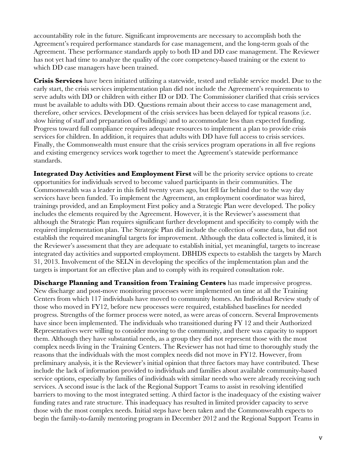accountability role in the future. Significant improvements are necessary to accomplish both the Agreement's required performance standards for case management, and the long-term goals of the Agreement. These performance standards apply to both ID and DD case management. The Reviewer has not yet had time to analyze the quality of the core competency-based training or the extent to which DD case managers have been trained.

**Crisis Services** have been initiated utilizing a statewide, tested and reliable service model. Due to the early start, the crisis services implementation plan did not include the Agreement's requirements to serve adults with DD or children with either ID or DD. The Commissioner clarified that crisis services must be available to adults with DD. Questions remain about their access to case management and, therefore, other services. Development of the crisis services has been delayed for typical reasons (i.e. slow hiring of staff and preparation of buildings) and to accommodate less than expected funding. Progress toward full compliance requires adequate resources to implement a plan to provide crisis services for children. In addition, it requires that adults with DD have full access to crisis services. Finally, the Commonwealth must ensure that the crisis services program operations in all five regions and existing emergency services work together to meet the Agreement's statewide performance standards.

**Integrated Day Activities and Employment First** will be the priority service options to create opportunities for individuals served to become valued participants in their communities. The Commonwealth was a leader in this field twenty years ago, but fell far behind due to the way day services have been funded. To implement the Agreement, an employment coordinator was hired, trainings provided, and an Employment First policy and a Strategic Plan were developed. The policy includes the elements required by the Agreement. However, it is the Reviewer's assessment that although the Strategic Plan requires significant further development and specificity to comply with the required implementation plan. The Strategic Plan did include the collection of some data, but did not establish the required meaningful targets for improvement. Although the data collected is limited, it is the Reviewer's assessment that they are adequate to establish initial, yet meaningful, targets to increase integrated day activities and supported employment. DBHDS expects to establish the targets by March 31, 2013. Involvement of the SELN in developing the specifics of the implementation plan and the targets is important for an effective plan and to comply with its required consultation role.

**Discharge Planning and Transition from Training Centers** has made impressive progress. New discharge and post-move monitoring processes were implemented on time at all the Training Centers from which 117 individuals have moved to community homes. An Individual Review study of those who moved in FY12, before new processes were required, established baselines for needed progress. Strengths of the former process were noted, as were areas of concern. Several Improvements have since been implemented. The individuals who transitioned during FY 12 and their Authorized Representatives were willing to consider moving to the community, and there was capacity to support them. Although they have substantial needs, as a group they did not represent those with the most complex needs living in the Training Centers. The Reviewer has not had time to thoroughly study the reasons that the individuals with the most complex needs did not move in FY12. However, from preliminary analysis, it is the Reviewer's initial opinion that three factors may have contributed. These include the lack of information provided to individuals and families about available community-based service options, especially by families of individuals with similar needs who were already receiving such services. A second issue is the lack of the Regional Support Teams to assist in resolving identified barriers to moving to the most integrated setting. A third factor is the inadequacy of the existing waiver funding rates and rate structure. This inadequacy has resulted in limited provider capacity to serve those with the most complex needs. Initial steps have been taken and the Commonwealth expects to begin the family-to-family mentoring program in December 2012 and the Regional Support Teams in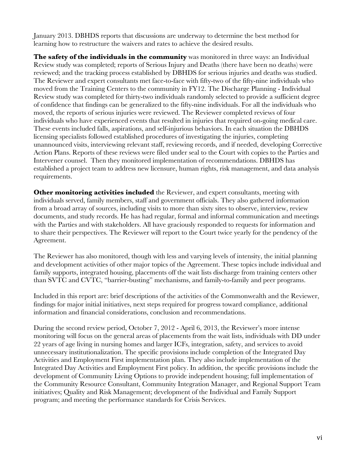January 2013. DBHDS reports that discussions are underway to determine the best method for learning how to restructure the waivers and rates to achieve the desired results.

**The safety of the individuals in the community** was monitored in three ways: an Individual Review study was completed; reports of Serious Injury and Deaths (there have been no deaths) were reviewed; and the tracking process established by DBHDS for serious injuries and deaths was studied. The Reviewer and expert consultants met face-to-face with fifty-two of the fifty-nine individuals who moved from the Training Centers to the community in FY12. The Discharge Planning - Individual Review study was completed for thirty-two individuals randomly selected to provide a sufficient degree of confidence that findings can be generalized to the fifty-nine individuals. For all the individuals who moved, the reports of serious injuries were reviewed. The Reviewer completed reviews of four individuals who have experienced events that resulted in injuries that required on-going medical care. These events included falls, aspirations, and self-injurious behaviors. In each situation the DBHDS licensing specialists followed established procedures of investigating the injuries, completing unannounced visits, interviewing relevant staff, reviewing records, and if needed, developing Corrective Action Plans. Reports of these reviews were filed under seal to the Court with copies to the Parties and Intervener counsel. Then they monitored implementation of recommendations. DBHDS has established a project team to address new licensure, human rights, risk management, and data analysis requirements.

**Other monitoring activities included** the Reviewer, and expert consultants, meeting with individuals served, family members, staff and government officials. They also gathered information from a broad array of sources, including visits to more than sixty sites to observe, interview, review documents, and study records. He has had regular, formal and informal communication and meetings with the Parties and with stakeholders. All have graciously responded to requests for information and to share their perspectives. The Reviewer will report to the Court twice yearly for the pendency of the Agreement.

The Reviewer has also monitored, though with less and varying levels of intensity, the initial planning and development activities of other major topics of the Agreement. These topics include individual and family supports, integrated housing, placements off the wait lists discharge from training centers other than SVTC and CVTC, "barrier-busting" mechanisms, and family-to-family and peer programs.

Included in this report are: brief descriptions of the activities of the Commonwealth and the Reviewer, findings for major initial initiatives, next steps required for progress toward compliance, additional information and financial considerations, conclusion and recommendations.

During the second review period, October 7, 2012 - April 6, 2013, the Reviewer's more intense monitoring will focus on the general areas of placements from the wait lists, individuals with DD under 22 years of age living in nursing homes and larger ICFs, integration, safety, and services to avoid unnecessary institutionalization. The specific provisions include completion of the Integrated Day Activities and Employment First implementation plan. They also include implementation of the Integrated Day Activities and Employment First policy. In addition, the specific provisions include the development of Community Living Options to provide independent housing; full implementation of the Community Resource Consultant, Community Integration Manager, and Regional Support Team initiatives; Quality and Risk Management; development of the Individual and Family Support program; and meeting the performance standards for Crisis Services.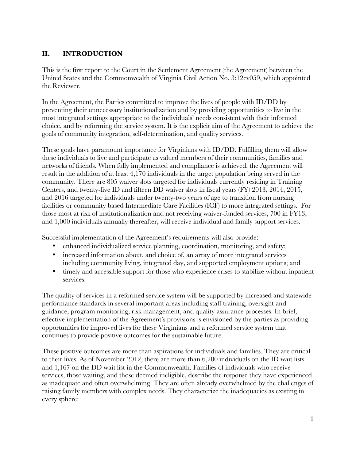#### **II. INTRODUCTION**

This is the first report to the Court in the Settlement Agreement (the Agreement) between the United States and the Commonwealth of Virginia Civil Action No. 3:12cv059, which appointed the Reviewer.

In the Agreement, the Parties committed to improve the lives of people with ID/DD by preventing their unnecessary institutionalization and by providing opportunities to live in the most integrated settings appropriate to the individuals' needs consistent with their informed choice, and by reforming the service system. It is the explicit aim of the Agreement to achieve the goals of community integration, self-determination, and quality services.

These goals have paramount importance for Virginians with ID/DD. Fulfilling them will allow these individuals to live and participate as valued members of their communities, families and networks of friends. When fully implemented and compliance is achieved, the Agreement will result in the addition of at least 4,170 individuals in the target population being served in the community. There are 805 waiver slots targeted for individuals currently residing in Training Centers, and twenty-five ID and fifteen DD waiver slots in fiscal years (FY) 2013, 2014, 2015, and 2016 targeted for individuals under twenty-two years of age to transition from nursing facilities or community based Intermediate Care Facilities (ICF) to more integrated settings. For those most at risk of institutionalization and not receiving waiver-funded services, 700 in FY13, and 1,000 individuals annually thereafter, will receive individual and family support services.

Successful implementation of the Agreement's requirements will also provide:

- enhanced individualized service planning, coordination, monitoring, and safety;
- increased information about, and choice of, an array of more integrated services including community living, integrated day, and supported employment options; and
- timely and accessible support for those who experience crises to stabilize without inpatient services.

The quality of services in a reformed service system will be supported by increased and statewide performance standards in several important areas including staff training, oversight and guidance, program monitoring, risk management, and quality assurance processes. In brief, effective implementation of the Agreement's provisions is envisioned by the parties as providing opportunities for improved lives for these Virginians and a reformed service system that continues to provide positive outcomes for the sustainable future.

These positive outcomes are more than aspirations for individuals and families. They are critical to their lives. As of November 2012, there are more than 6,200 individuals on the ID wait lists and 1,167 on the DD wait list in the Commonwealth. Families of individuals who receive services, those waiting, and those deemed ineligible, describe the response they have experienced as inadequate and often overwhelming. They are often already overwhelmed by the challenges of raising family members with complex needs. They characterize the inadequacies as existing in every sphere: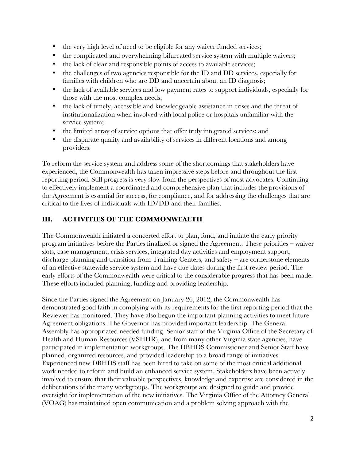- the very high level of need to be eligible for any waiver funded services;
- the complicated and overwhelming bifurcated service system with multiple waivers;
- the lack of clear and responsible points of access to available services;
- the challenges of two agencies responsible for the ID and DD services, especially for families with children who are DD and uncertain about an ID diagnosis;
- the lack of available services and low payment rates to support individuals, especially for those with the most complex needs;
- the lack of timely, accessible and knowledgeable assistance in crises and the threat of institutionalization when involved with local police or hospitals unfamiliar with the service system;
- the limited array of service options that offer truly integrated services; and
- the disparate quality and availability of services in different locations and among providers.

To reform the service system and address some of the shortcomings that stakeholders have experienced, the Commonwealth has taken impressive steps before and throughout the first reporting period. Still progress is very slow from the perspectives of most advocates. Continuing to effectively implement a coordinated and comprehensive plan that includes the provisions of the Agreement is essential for success, for compliance, and for addressing the challenges that are critical to the lives of individuals with ID/DD and their families.

#### **III. ACTIVITIES OF THE COMMONWEALTH**

The Commonwealth initiated a concerted effort to plan, fund, and initiate the early priority program initiatives before the Parties finalized or signed the Agreement. These priorities – waiver slots, case management, crisis services, integrated day activities and employment support, discharge planning and transition from Training Centers, and safety – are cornerstone elements of an effective statewide service system and have due dates during the first review period. The early efforts of the Commonwealth were critical to the considerable progress that has been made. These efforts included planning, funding and providing leadership.

Since the Parties signed the Agreement on January 26, 2012, the Commonwealth has demonstrated good faith in complying with its requirements for the first reporting period that the Reviewer has monitored. They have also begun the important planning activities to meet future Agreement obligations. The Governor has provided important leadership. The General Assembly has appropriated needed funding. Senior staff of the Virginia Office of the Secretary of Health and Human Resources (VSHHR), and from many other Virginia state agencies, have participated in implementation workgroups. The DBHDS Commissioner and Senior Staff have planned, organized resources, and provided leadership to a broad range of initiatives. Experienced new DBHDS staff has been hired to take on some of the most critical additional work needed to reform and build an enhanced service system. Stakeholders have been actively involved to ensure that their valuable perspectives, knowledge and expertise are considered in the deliberations of the many workgroups. The workgroups are designed to guide and provide oversight for implementation of the new initiatives. The Virginia Office of the Attorney General (VOAG) has maintained open communication and a problem solving approach with the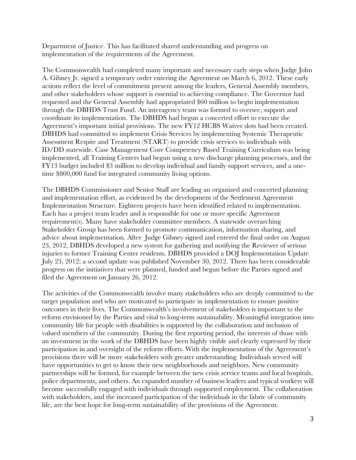Department of Justice. This has facilitated shared understanding and progress on implementation of the requirements of the Agreement.

The Commonwealth had completed many important and necessary early steps when Judge John A. Gibney Jr. signed a temporary order entering the Agreement on March 6, 2012. These early actions reflect the level of commitment present among the leaders, General Assembly members, and other stakeholders whose support is essential to achieving compliance. The Governor had requested and the General Assembly had appropriated \$60 million to begin implementation through the DBHDS Trust Fund. An interagency team was formed to oversee, support and coordinate its implementation. The DBHDS had begun a concerted effort to execute the Agreement's important initial provisions. The new FY12 HCBS Waiver slots had been created. DBHDS had committed to implement Crisis Services by implementing Systemic Therapeutic Assessment Respite and Treatment (START) to provide crisis services to individuals with ID/DD statewide. Case Management Core Competency Based Training Curriculum was being implemented, all Training Centers had begun using a new discharge planning processes, and the FY13 budget included \$3 million to develop individual and family support services, and a onetime \$800,000 fund for integrated community living options.

The DBHDS Commissioner and Senior Staff are leading an organized and concerted planning and implementation effort, as evidenced by the development of the Settlement Agreement Implementation Structure. Eighteen projects have been identified related to implementation. Each has a project team leader and is responsible for one or more specific Agreement requirement(s). Many have stakeholder committee members. A statewide overarching Stakeholder Group has been formed to promote communication, information sharing, and advice about implementation. After Judge Gibney signed and entered the final order on August 23, 2012, DBHDS developed a new system for gathering and notifying the Reviewer of serious injuries to former Training Center residents. DBHDS provided a DOJ Implementation Update July 23, 2012; a second update was published November 30, 2012. There has been considerable progress on the initiatives that were planned, funded and begun before the Parties signed and filed the Agreement on January 26, 2012.

The activities of the Commonwealth involve many stakeholders who are deeply committed to the target population and who are motivated to participate in implementation to ensure positive outcomes in their lives. The Commonwealth's involvement of stakeholders is important to the reform envisioned by the Parties and vital to long-term sustainability. Meaningful integration into community life for people with disabilities is supported by the collaboration and inclusion of valued members of the community. During the first reporting period, the interests of those with an investment in the work of the DBHDS have been highly visible and clearly expressed by their participation in and oversight of the reform efforts. With the implementation of the Agreement's provisions there will be more stakeholders with greater understanding. Individuals served will have opportunities to get to know their new neighborhoods and neighbors. New community partnerships will be formed, for example between the new crisis service teams and local hospitals, police departments, and others. An expanded number of business leaders and typical workers will become successfully engaged with individuals through supported employment. The collaboration with stakeholders, and the increased participation of the individuals in the fabric of community life, are the best hope for long-term sustainability of the provisions of the Agreement.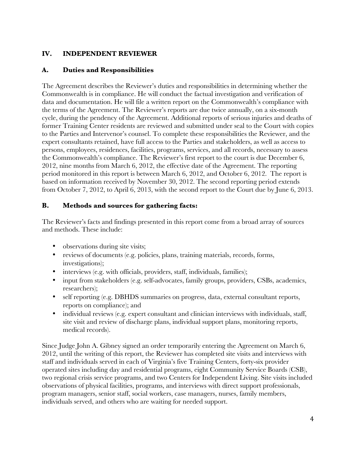#### **IV. INDEPENDENT REVIEWER**

#### **A. Duties and Responsibilities**

The Agreement describes the Reviewer's duties and responsibilities in determining whether the Commonwealth is in compliance. He will conduct the factual investigation and verification of data and documentation. He will file a written report on the Commonwealth's compliance with the terms of the Agreement. The Reviewer's reports are due twice annually, on a six-month cycle, during the pendency of the Agreement. Additional reports of serious injuries and deaths of former Training Center residents are reviewed and submitted under seal to the Court with copies to the Parties and Intervenor's counsel. To complete these responsibilities the Reviewer, and the expert consultants retained, have full access to the Parties and stakeholders, as well as access to persons, employees, residences, facilities, programs, services, and all records, necessary to assess the Commonwealth's compliance. The Reviewer's first report to the court is due December 6, 2012, nine months from March 6, 2012, the effective date of the Agreement. The reporting period monitored in this report is between March 6, 2012, and October 6, 2012. The report is based on information received by November 30, 2012. The second reporting period extends from October 7, 2012, to April 6, 2013, with the second report to the Court due by June 6, 2013.

#### **B. Methods and sources for gathering facts:**

The Reviewer's facts and findings presented in this report come from a broad array of sources and methods. These include:

- observations during site visits;
- reviews of documents (e.g. policies, plans, training materials, records, forms, investigations);
- interviews (e.g. with officials, providers, staff, individuals, families);
- input from stakeholders (e.g. self-advocates, family groups, providers, CSBs, academics, researchers);
- self reporting (e.g. DBHDS summaries on progress, data, external consultant reports, reports on compliance); and
- individual reviews (e.g. expert consultant and clinician interviews with individuals, staff, site visit and review of discharge plans, individual support plans, monitoring reports, medical records).

Since Judge John A. Gibney signed an order temporarily entering the Agreement on March 6, 2012, until the writing of this report, the Reviewer has completed site visits and interviews with staff and individuals served in each of Virginia's five Training Centers, forty-six provider operated sites including day and residential programs, eight Community Service Boards (CSB), two regional crisis service programs, and two Centers for Independent Living. Site visits included observations of physical facilities, programs, and interviews with direct support professionals, program managers, senior staff, social workers, case managers, nurses, family members, individuals served, and others who are waiting for needed support.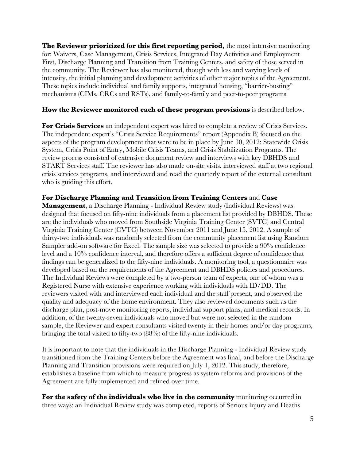**The Reviewer prioritized** f**or this first reporting period,** the most intensive monitoring for: Waivers, Case Management, Crisis Services, Integrated Day Activities and Employment First, Discharge Planning and Transition from Training Centers, and safety of those served in the community. The Reviewer has also monitored, though with less and varying levels of intensity, the initial planning and development activities of other major topics of the Agreement. These topics include individual and family supports, integrated housing, "barrier-busting" mechanisms (CIMs, CRCs and RSTs), and family-to-family and peer-to-peer programs.

#### **How the Reviewer monitored each of these program provisions** is described below.

**For Crisis Services** an independent expert was hired to complete a review of Crisis Services. The independent expert's "Crisis Service Requirements" report (Appendix B) focused on the aspects of the program development that were to be in place by June 30, 2012: Statewide Crisis System, Crisis Point of Entry, Mobile Crisis Teams, and Crisis Stabilization Programs. The review process consisted of extensive document review and interviews with key DBHDS and START Services staff. The reviewer has also made on-site visits, interviewed staff at two regional crisis services programs, and interviewed and read the quarterly report of the external consultant who is guiding this effort.

**For Discharge Planning and Transition from Training Centers** and **Case Management**, a Discharge Planning - Individual Review study (Individual Reviews) was designed that focused on fifty-nine individuals from a placement list provided by DBHDS. These are the individuals who moved from Southside Virginia Training Center (SVTC) and Central Virginia Training Center (CVTC) between November 2011 and June 15, 2012. A sample of thirty-two individuals was randomly selected from the community placement list using Random Sampler add-on software for Excel. The sample size was selected to provide a 90% confidence level and a 10% confidence interval, and therefore offers a sufficient degree of confidence that findings can be generalized to the fifty-nine individuals. A monitoring tool, a questionnaire was developed based on the requirements of the Agreement and DBHDS policies and procedures. The Individual Reviews were completed by a two-person team of experts, one of whom was a Registered Nurse with extensive experience working with individuals with ID/DD. The reviewers visited with and interviewed each individual and the staff present, and observed the quality and adequacy of the home environment. They also reviewed documents such as the discharge plan, post-move monitoring reports, individual support plans, and medical records. In addition, of the twenty-seven individuals who moved but were not selected in the random sample, the Reviewer and expert consultants visited twenty in their homes and/or day programs, bringing the total visited to fifty-two (88%) of the fifty-nine individuals.

It is important to note that the individuals in the Discharge Planning - Individual Review study transitioned from the Training Centers before the Agreement was final, and before the Discharge Planning and Transition provisions were required on July 1, 2012. This study, therefore, establishes a baseline from which to measure progress as system reforms and provisions of the Agreement are fully implemented and refined over time.

**For the safety of the individuals who live in the community** monitoring occurred in three ways: an Individual Review study was completed, reports of Serious Injury and Deaths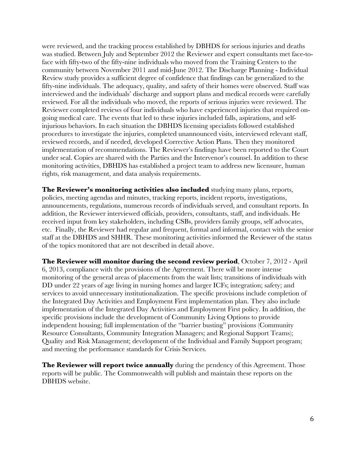were reviewed, and the tracking process established by DBHDS for serious injuries and deaths was studied. Between July and September 2012 the Reviewer and expert consultants met face-toface with fifty-two of the fifty-nine individuals who moved from the Training Centers to the community between November 2011 and mid-June 2012. The Discharge Planning - Individual Review study provides a sufficient degree of confidence that findings can be generalized to the fifty-nine individuals. The adequacy, quality, and safety of their homes were observed. Staff was interviewed and the individuals' discharge and support plans and medical records were carefully reviewed. For all the individuals who moved, the reports of serious injuries were reviewed. The Reviewer completed reviews of four individuals who have experienced injuries that required ongoing medical care. The events that led to these injuries included falls, aspirations, and selfinjurious behaviors. In each situation the DBHDS licensing specialists followed established procedures to investigate the injuries, completed unannounced visits, interviewed relevant staff, reviewed records, and if needed, developed Corrective Action Plans. Then they monitored implementation of recommendations. The Reviewer's findings have been reported to the Court under seal. Copies are shared with the Parties and the Intervenor's counsel. In addition to these monitoring activities, DBHDS has established a project team to address new licensure, human rights, risk management, and data analysis requirements.

**The Reviewer's monitoring activities also included** studying many plans, reports, policies, meeting agendas and minutes, tracking reports, incident reports, investigations, announcements, regulations, numerous records of individuals served, and consultant reports. In addition, the Reviewer interviewed officials, providers, consultants, staff, and individuals. He received input from key stakeholders, including CSBs, providers family groups, self advocates, etc. Finally, the Reviewer had regular and frequent, formal and informal, contact with the senior staff at the DBHDS and SHHR. These monitoring activities informed the Reviewer of the status of the topics monitored that are not described in detail above.

**The Reviewer will monitor during the second review period**, October 7, 2012 - April 6, 2013, compliance with the provisions of the Agreement. There will be more intense monitoring of the general areas of placements from the wait lists; transitions of individuals with DD under 22 years of age living in nursing homes and larger ICFs; integration; safety; and services to avoid unnecessary institutionalization. The specific provisions include completion of the Integrated Day Activities and Employment First implementation plan. They also include implementation of the Integrated Day Activities and Employment First policy. In addition, the specific provisions include the development of Community Living Options to provide independent housing; full implementation of the "barrier busting" provisions (Community Resource Consultants, Community Integration Managers; and Regional Support Teams); Quality and Risk Management; development of the Individual and Family Support program; and meeting the performance standards for Crisis Services.

**The Reviewer will report twice annually** during the pendency of this Agreement. Those reports will be public. The Commonwealth will publish and maintain these reports on the DBHDS website.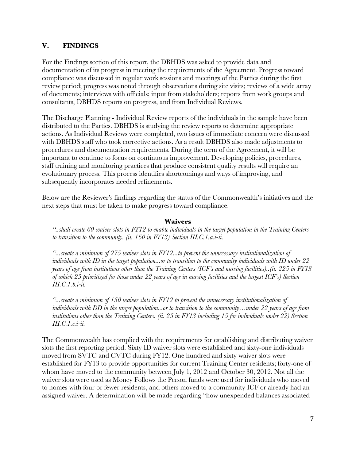#### **V. FINDINGS**

For the Findings section of this report, the DBHDS was asked to provide data and documentation of its progress in meeting the requirements of the Agreement. Progress toward compliance was discussed in regular work sessions and meetings of the Parties during the first review period; progress was noted through observations during site visits; reviews of a wide array of documents; interviews with officials; input from stakeholders; reports from work groups and consultants, DBHDS reports on progress, and from Individual Reviews.

The Discharge Planning - Individual Review reports of the individuals in the sample have been distributed to the Parties. DBHDS is studying the review reports to determine appropriate actions. As Individual Reviews were completed, two issues of immediate concern were discussed with DBHDS staff who took corrective actions. As a result DBHDS also made adjustments to procedures and documentation requirements. During the term of the Agreement, it will be important to continue to focus on continuous improvement. Developing policies, procedures, staff training and monitoring practices that produce consistent quality results will require an evolutionary process. This process identifies shortcomings and ways of improving, and subsequently incorporates needed refinements.

Below are the Reviewer's findings regarding the status of the Commonwealth's initiatives and the next steps that must be taken to make progress toward compliance.

#### **Waivers**

*"..shall create 60 waiver slots in FY12 to enable individuals in the target population in the Training Centers to transition to the community. (ii. 160 in FY13) Section III.C.1.a.i-ii.*

*"...create a minimum of 275 waiver slots in FY12...to prevent the unnecessary institutionalization of individuals with ID in the target population...or to transition to the community individuals with ID under 22 years of age from institutions other than the Training Centers (ICF's and nursing facilities)..(ii. 225 in FY13 of which 25 prioritized for those under 22 years of age in nursing facilities and the largest ICF's) Section III.C.1.b.i-ii.*

*"...create a minimum of 150 waiver slots in FY12 to prevent the unnecessary institutionalization of individuals with DD in the target population...or to transition to the community…under 22 years of age from institutions other than the Training Centers. (ii. 25 in FY13 including 15 for individuals under 22) Section III.C.1.c.i-ii.*

The Commonwealth has complied with the requirements for establishing and distributing waiver slots the first reporting period. Sixty ID waiver slots were established and sixty-one individuals moved from SVTC and CVTC during FY12. One hundred and sixty waiver slots were established for FY13 to provide opportunities for current Training Center residents; forty-one of whom have moved to the community between July 1, 2012 and October 30, 2012. Not all the waiver slots were used as Money Follows the Person funds were used for individuals who moved to homes with four or fewer residents, and others moved to a community ICF or already had an assigned waiver. A determination will be made regarding "how unexpended balances associated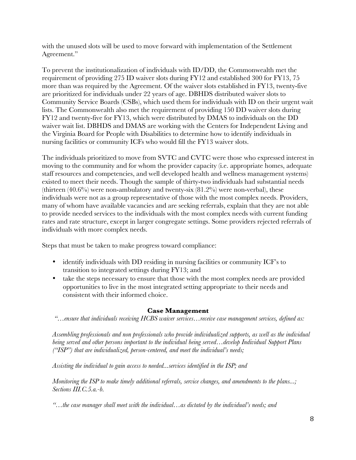with the unused slots will be used to move forward with implementation of the Settlement Agreement."

To prevent the institutionalization of individuals with ID/DD, the Commonwealth met the requirement of providing 275 ID waiver slots during FY12 and established 300 for FY13, 75 more than was required by the Agreement. Of the waiver slots established in FY13, twenty-five are prioritized for individuals under 22 years of age. DBHDS distributed waiver slots to Community Service Boards (CSBs), which used them for individuals with ID on their urgent wait lists. The Commonwealth also met the requirement of providing 150 DD waiver slots during FY12 and twenty-five for FY13, which were distributed by DMAS to individuals on the DD waiver wait list. DBHDS and DMAS are working with the Centers for Independent Living and the Virginia Board for People with Disabilities to determine how to identify individuals in nursing facilities or community ICFs who would fill the FY13 waiver slots.

The individuals prioritized to move from SVTC and CVTC were those who expressed interest in moving to the community and for whom the provider capacity (i.e. appropriate homes, adequate staff resources and competencies, and well developed health and wellness management systems) existed to meet their needs. Though the sample of thirty-two individuals had substantial needs (thirteen  $(40.6\%)$  were non-ambulatory and twenty-six  $(81.2\%)$  were non-verbal), these individuals were not as a group representative of those with the most complex needs. Providers, many of whom have available vacancies and are seeking referrals, explain that they are not able to provide needed services to the individuals with the most complex needs with current funding rates and rate structure, except in larger congregate settings. Some providers rejected referrals of individuals with more complex needs.

Steps that must be taken to make progress toward compliance:

- identify individuals with DD residing in nursing facilities or community ICF's to transition to integrated settings during FY13; and
- take the steps necessary to ensure that those with the most complex needs are provided opportunities to live in the most integrated setting appropriate to their needs and consistent with their informed choice.

#### **Case Management**

*"…ensure that individuals receiving HCBS waiver services…receive case management services, defined as:*

*Assembling professionals and non professionals who provide individualized supports, as well as the individual being served and other persons important to the individual being served…develop Individual Support Plans ("ISP") that are individualized, person-centered, and meet the individual's needs;*

*Assisting the individual to gain access to needed...services identified in the ISP; and*

*Monitoring the ISP to make timely additional referrals, service changes, and amendments to the plans...; Sections III.C.5.a.-b.*

*"…the case manager shall meet with the individual…as dictated by the individual's needs; and*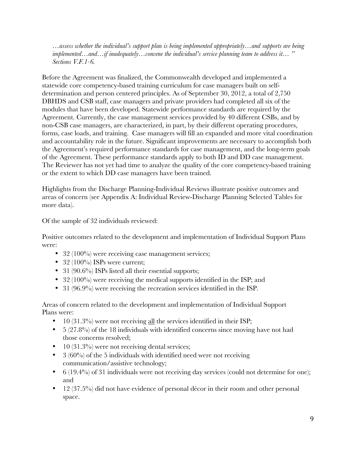*…assess whether the individual's support plan is being implemented appropriately…and supports are being implemented…and…if inadequately…convene the individual's service planning team to address it… " Sections V.F.1-6.* 

Before the Agreement was finalized, the Commonwealth developed and implemented a statewide core competency-based training curriculum for case managers built on selfdetermination and person centered principles. As of September 30, 2012, a total of 2,750 DBHDS and CSB staff, case managers and private providers had completed all six of the modules that have been developed. Statewide performance standards are required by the Agreement. Currently, the case management services provided by 40 different CSBs, and by non-CSB case managers, are characterized, in part, by their different operating procedures, forms, case loads, and training. Case managers will fill an expanded and more vital coordination and accountability role in the future. Significant improvements are necessary to accomplish both the Agreement's required performance standards for case management, and the long-term goals of the Agreement. These performance standards apply to both ID and DD case management. The Reviewer has not yet had time to analyze the quality of the core competency-based training or the extent to which DD case managers have been trained.

Highlights from the Discharge Planning-Individual Reviews illustrate positive outcomes and areas of concern (see Appendix A: Individual Review-Discharge Planning Selected Tables for more data).

Of the sample of 32 individuals reviewed:

Positive outcomes related to the development and implementation of Individual Support Plans were:

- 32 (100%) were receiving case management services;
- 32 (100%) ISPs were current;
- 31 (90.6%) ISPs listed all their essential supports;
- 32 (100%) were receiving the medical supports identified in the ISP; and
- 31 (96.9%) were receiving the recreation services identified in the ISP.

Areas of concern related to the development and implementation of Individual Support Plans were:

- 10 (31.3%) were not receiving all the services identified in their ISP;
- $\bullet$  5 (27.8%) of the 18 individuals with identified concerns since moving have not had those concerns resolved;
- 10 (31.3%) were not receiving dental services;
- $3(60\%)$  of the 5 individuals with identified need were not receiving communication/assistive technology;
- 6 (19.4%) of 31 individuals were not receiving day services (could not determine for one); and
- 12 (37.5%) did not have evidence of personal décor in their room and other personal space.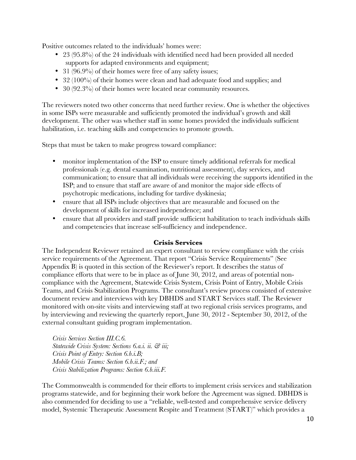Positive outcomes related to the individuals' homes were:

- 23 (95.8%) of the 24 individuals with identified need had been provided all needed supports for adapted environments and equipment;
- 31 (96.9%) of their homes were free of any safety issues;
- 32 (100%) of their homes were clean and had adequate food and supplies; and
- 30 (92.3%) of their homes were located near community resources.

The reviewers noted two other concerns that need further review. One is whether the objectives in some ISPs were measurable and sufficiently promoted the individual's growth and skill development. The other was whether staff in some homes provided the individuals sufficient habilitation, i.e. teaching skills and competencies to promote growth.

Steps that must be taken to make progress toward compliance:

- monitor implementation of the ISP to ensure timely additional referrals for medical professionals (e.g. dental examination, nutritional assessment), day services, and communication; to ensure that all individuals were receiving the supports identified in the ISP; and to ensure that staff are aware of and monitor the major side effects of psychotropic medications, including for tardive dyskinesia;
- ensure that all ISPs include objectives that are measurable and focused on the development of skills for increased independence; and
- ensure that all providers and staff provide sufficient habilitation to teach individuals skills and competencies that increase self-sufficiency and independence.

#### **Crisis Services**

The Independent Reviewer retained an expert consultant to review compliance with the crisis service requirements of the Agreement. That report "Crisis Service Requirements" (See Appendix B) is quoted in this section of the Reviewer's report. It describes the status of compliance efforts that were to be in place as of June 30, 2012, and areas of potential noncompliance with the Agreement, Statewide Crisis System, Crisis Point of Entry, Mobile Crisis Teams, and Crisis Stabilization Programs. The consultant's review process consisted of extensive document review and interviews with key DBHDS and START Services staff. The Reviewer monitored with on-site visits and interviewing staff at two regional crisis services programs, and by interviewing and reviewing the quarterly report, June 30, 2012 - September 30, 2012, of the external consultant guiding program implementation.

*Crisis Services Section III.C.6. Statewide Crisis System: Sections 6.a.i. ii. & iii; Crisis Point of Entry: Section 6.b.i.B; Mobile Crisis Teams: Section 6.b.ii.F.; and Crisis Stabilization Programs: Section 6.b.iii.F.*

The Commonwealth is commended for their efforts to implement crisis services and stabilization programs statewide, and for beginning their work before the Agreement was signed. DBHDS is also commended for deciding to use a "reliable, well-tested and comprehensive service delivery model, Systemic Therapeutic Assessment Respite and Treatment (START)" which provides a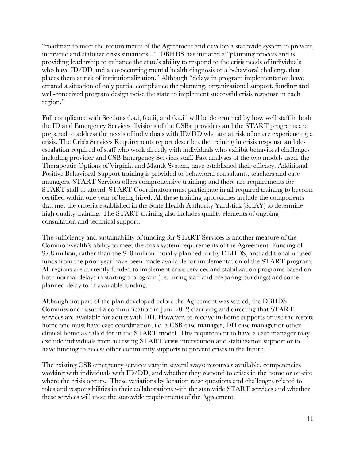"roadmap to meet the requirements of the Agreement and develop a statewide system to prevent, intervene and stabilize crisis situations..." DBHDS has initiated a "planning process and is providing leadership to enhance the state's ability to respond to the crisis needs of individuals who have ID/DD and a co-occurring mental health diagnosis or a behavioral challenge that places them at risk of institutionalization." Although "delays in program implementation have created a situation of only partial compliance the planning, organizational support, funding and well-conceived program design poise the state to implement successful crisis response in each region."

Full compliance with Sections 6.a.i, 6.a.ii, and 6.a.iii will be determined by how well staff in both the ID and Emergency Services divisions of the CSBs, providers and the START programs are prepared to address the needs of individuals with ID/DD who are at risk of or are experiencing a crisis. The Crisis Services Requirements report describes the training in crisis response and deescalation required of staff who work directly with individuals who exhibit behavioral challenges including provider and CSB Emergency Services staff. Past analyses of the two models used, the Therapeutic Options of Virginia and Mandt System, have established their efficacy. Additional Positive Behavioral Support training is provided to behavioral consultants, teachers and case managers. START Services offers comprehensive training; and there are requirements for START staff to attend. START Coordinators must participate in all required training to become certified within one year of being hired. All these training approaches include the components that met the criteria established in the State Health Authority Yardstick (SHAY) to determine high quality training. The START training also includes quality elements of ongoing consultation and technical support.

The sufficiency and sustainability of funding for START Services is another measure of the Commonwealth's ability to meet the crisis system requirements of the Agreement. Funding of \$7.8 million, rather than the \$10 million initially planned for by DBHDS, and additional unused funds from the prior year have been made available for implementation of the START program. All regions are currently funded to implement crisis services and stabilization programs based on both normal delays in starting a program (i.e. hiring staff and preparing buildings) and some planned delay to fit available funding.

Although not part of the plan developed before the Agreement was settled, the DBHDS Commissioner issued a communication in June 2012 clarifying and directing that START services are available for adults with DD. However, to receive in-home supports or use the respite home one must have case coordination, i.e. a CSB case manager, DD case manager or other clinical home as called for in the START model. This requirement to have a case manager may exclude individuals from accessing START crisis intervention and stabilization support or to have funding to access other community supports to prevent crises in the future.

The existing CSB emergency services vary in several ways: resources available, competencies working with individuals with ID/DD, and whether they respond to crises in the home or on-site where the crisis occurs. These variations by location raise questions and challenges related to roles and responsibilities in their collaborations with the statewide START services and whether these services will meet the statewide requirements of the Agreement.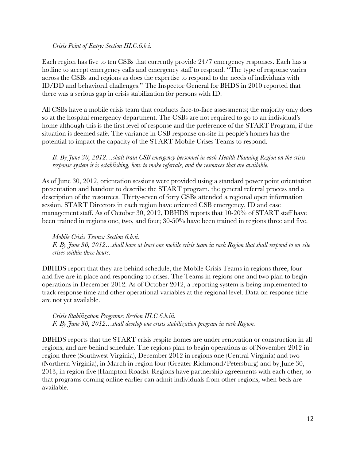#### *Crisis Point of Entry: Section III.C.6.b.i.*

Each region has five to ten CSBs that currently provide 24/7 emergency responses. Each has a hotline to accept emergency calls and emergency staff to respond. "The type of response varies across the CSBs and regions as does the expertise to respond to the needs of individuals with ID/DD and behavioral challenges." The Inspector General for BHDS in 2010 reported that there was a serious gap in crisis stabilization for persons with ID.

All CSBs have a mobile crisis team that conducts face-to-face assessments; the majority only does so at the hospital emergency department. The CSBs are not required to go to an individual's home although this is the first level of response and the preference of the START Program, if the situation is deemed safe. The variance in CSB response on-site in people's homes has the potential to impact the capacity of the START Mobile Crises Teams to respond.

*B. By June 30, 2012…shall train CSB emergency personnel in each Health Planning Region on the crisis response system it is establishing, how to make referrals, and the resources that are available.*

As of June 30, 2012, orientation sessions were provided using a standard power point orientation presentation and handout to describe the START program, the general referral process and a description of the resources. Thirty-seven of forty CSBs attended a regional open information session. START Directors in each region have oriented CSB emergency, ID and case management staff. As of October 30, 2012, DBHDS reports that 10-20% of START staff have been trained in regions one, two, and four; 30-50% have been trained in regions three and five.

*Mobile Crisis Teams: Section 6.b.ii. F. By June 30, 2012…shall have at least one mobile crisis team in each Region that shall respond to on-site crises within three hours.*

DBHDS report that they are behind schedule, the Mobile Crisis Teams in regions three, four and five are in place and responding to crises. The Teams in regions one and two plan to begin operations in December 2012. As of October 2012, a reporting system is being implemented to track response time and other operational variables at the regional level. Data on response time are not yet available.

*Crisis Stabilization Programs: Section III.C.6.b.iii. F. By June 30, 2012…shall develop one crisis stabilization program in each Region.*

DBHDS reports that the START crisis respite homes are under renovation or construction in all regions, and are behind schedule. The regions plan to begin operations as of November 2012 in region three (Southwest Virginia), December 2012 in regions one (Central Virginia) and two (Northern Virginia), in March in region four (Greater Richmond/Petersburg) and by June 30, 2013, in region five (Hampton Roads). Regions have partnership agreements with each other, so that programs coming online earlier can admit individuals from other regions, when beds are available.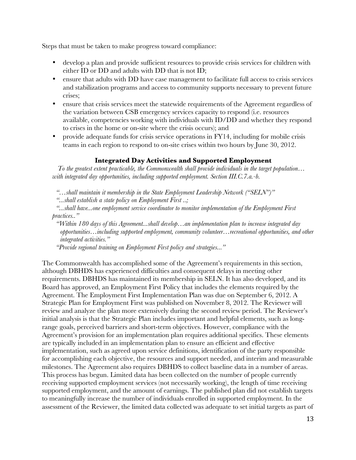Steps that must be taken to make progress toward compliance:

- develop a plan and provide sufficient resources to provide crisis services for children with either ID or DD and adults with DD that is not ID;
- ensure that adults with DD have case management to facilitate full access to crisis services and stabilization programs and access to community supports necessary to prevent future crises;
- ensure that crisis services meet the statewide requirements of the Agreement regardless of the variation between CSB emergency services capacity to respond (i.e. resources available, competencies working with individuals with ID/DD and whether they respond to crises in the home or on-site where the crisis occurs); and
- provide adequate funds for crisis service operations in FY14, including for mobile crisis teams in each region to respond to on-site crises within two hours by June 30, 2012.

#### **Integrated Day Activities and Supported Employment**

 *To the greatest extent practicable, the Commonwealth shall provide individuals in the target population… with integrated day opportunities, including supported employment. Section III.C.7.a.-b.*

*"…shall maintain it membership in the State Employment Leadership Network ("SELN")"*

*"...shall establish a state policy on Employment First ..;* 

*"...shall have...one employment service coordinator to monitor implementation of the Employment First practices.."*

*"Within 180 days of this Agreement...shall develop…an implementation plan to increase integrated day opportunities…including supported employment, community volunteer…recreational opportunities, and other integrated activities."* 

*"Provide regional training on Employment First policy and strategies..."*

The Commonwealth has accomplished some of the Agreement's requirements in this section, although DBHDS has experienced difficulties and consequent delays in meeting other requirements. DBHDS has maintained its membership in SELN. It has also developed, and its Board has approved, an Employment First Policy that includes the elements required by the Agreement. The Employment First Implementation Plan was due on September 6, 2012. A Strategic Plan for Employment First was published on November 8, 2012. The Reviewer will review and analyze the plan more extensively during the second review period. The Reviewer's initial analysis is that the Strategic Plan includes important and helpful elements, such as longrange goals, perceived barriers and short-term objectives. However, compliance with the Agreement's provision for an implementation plan requires additional specifics. These elements are typically included in an implementation plan to ensure an efficient and effective implementation, such as agreed upon service definitions, identification of the party responsible for accomplishing each objective, the resources and support needed, and interim and measurable milestones. The Agreement also requires DBHDS to collect baseline data in a number of areas. This process has begun. Limited data has been collected on the number of people currently receiving supported employment services (not necessarily working), the length of time receiving supported employment, and the amount of earnings. The published plan did not establish targets to meaningfully increase the number of individuals enrolled in supported employment. In the assessment of the Reviewer, the limited data collected was adequate to set initial targets as part of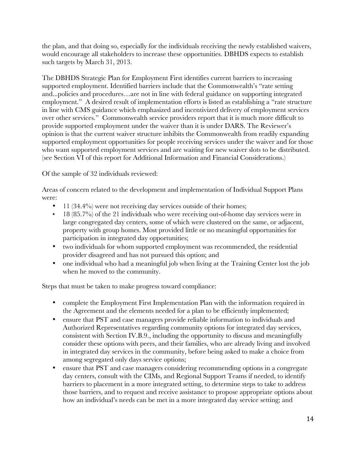the plan, and that doing so, especially for the individuals receiving the newly established waivers, would encourage all stakeholders to increase these opportunities. DBHDS expects to establish such targets by March 31, 2013.

The DBHDS Strategic Plan for Employment First identifies current barriers to increasing supported employment. Identified barriers include that the Commonwealth's "rate setting and...policies and procedures…are not in line with federal guidance on supporting integrated employment." A desired result of implementation efforts is listed as establishing a "rate structure in line with CMS guidance which emphasized and incentivized delivery of employment services over other services." Commonwealth service providers report that it is much more difficult to provide supported employment under the waiver than it is under DARS. The Reviewer's opinion is that the current waiver structure inhibits the Commonwealth from readily expanding supported employment opportunities for people receiving services under the waiver and for those who want supported employment services and are waiting for new waiver slots to be distributed. (see Section VI of this report for Additional Information and Financial Considerations.)

Of the sample of 32 individuals reviewed:

Areas of concern related to the development and implementation of Individual Support Plans were:

- 11 (34.4%) were not receiving day services outside of their homes;
- 18 (85.7%) of the 21 individuals who were receiving out-of-home day services were in large congregated day centers, some of which were clustered on the same, or adjacent, property with group homes. Most provided little or no meaningful opportunities for participation in integrated day opportunities;
- two individuals for whom supported employment was recommended, the residential provider disagreed and has not pursued this option; and
- one individual who had a meaningful job when living at the Training Center lost the job when he moved to the community.

Steps that must be taken to make progress toward compliance:

- complete the Employment First Implementation Plan with the information required in the Agreement and the elements needed for a plan to be efficiently implemented;
- ensure that PST and case managers provide reliable information to individuals and Authorized Representatives regarding community options for integrated day services, consistent with Section IV.B.9., including the opportunity to discuss and meaningfully consider these options with peers, and their families, who are already living and involved in integrated day services in the community, before being asked to make a choice from among segregated only days service options;
- ensure that PST and case managers considering recommending options in a congregate day centers, consult with the CIMs, and Regional Support Teams if needed, to identify barriers to placement in a more integrated setting, to determine steps to take to address those barriers, and to request and receive assistance to propose appropriate options about how an individual's needs can be met in a more integrated day service setting; and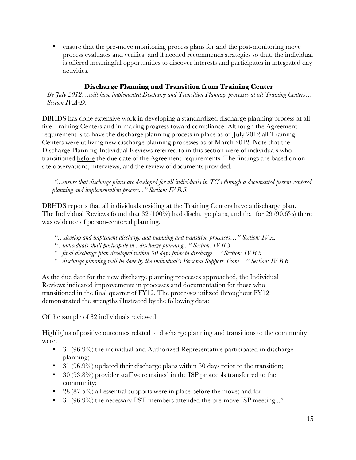• ensure that the pre-move monitoring process plans for and the post-monitoring move process evaluates and verifies, and if needed recommends strategies so that, the individual is offered meaningful opportunities to discover interests and participates in integrated day activities.

#### **Discharge Planning and Transition from Training Center**

*By July 2012…will have implemented Discharge and Transition Planning processes at all Training Centers… Section IV.A-D.*

DBHDS has done extensive work in developing a standardized discharge planning process at all five Training Centers and in making progress toward compliance. Although the Agreement requirement is to have the discharge planning process in place as of July 2012 all Training Centers were utilizing new discharge planning processes as of March 2012. Note that the Discharge Planning-Individual Reviews referred to in this section were of individuals who transitioned before the due date of the Agreement requirements. The findings are based on onsite observations, interviews, and the review of documents provided.

*"...ensure that discharge plans are developed for all individuals in TC's through a documented person-centered planning and implementation process..." Section: IV.B.5.*

DBHDS reports that all individuals residing at the Training Centers have a discharge plan. The Individual Reviews found that 32 (100%) had discharge plans, and that for 29 (90.6%) there was evidence of person-centered planning.

- *"…develop and implement discharge and planning and transition processes…" Section: IV.A.*
- *"...individuals shall participate in ..discharge planning..." Section: IV.B.3.*
- *"...final discharge plan developed within 30 days prior to discharge…" Section: IV.B.5*
- *"...discharge planning will be done by the individual's Personal Support Team ..." Section: IV.B.6.*

As the due date for the new discharge planning processes approached, the Individual Reviews indicated improvements in processes and documentation for those who transitioned in the final quarter of FY12. The processes utilized throughout FY12 demonstrated the strengths illustrated by the following data:

Of the sample of 32 individuals reviewed:

Highlights of positive outcomes related to discharge planning and transitions to the community were:

- 31 (96.9%) the individual and Authorized Representative participated in discharge planning;
- 31 (96.9%) updated their discharge plans within 30 days prior to the transition;
- 30 (93.8%) provider staff were trained in the ISP protocols transferred to the community;
- 28 (87.5%) all essential supports were in place before the move; and for
- 31 (96.9%) the necessary PST members attended the pre-move ISP meeting..."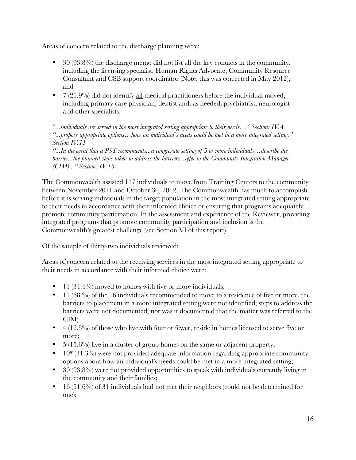Areas of concern related to the discharge planning were:

- 30 (93.8%) the discharge memo did not list all the key contacts in the community, including the licensing specialist, Human Rights Advocate, Community Resource Consultant and CSB support coordinator (Note: this was corrected in May 2012); and
- $7(21.9%)$  did not identify all medical practitioners before the individual moved, including primary care physician, dentist and, as needed, psychiatrist, neurologist and other specialists.

*"...individuals are served in the most integrated setting appropriate to their needs…" Section: IV.A. "...propose appropriate options…how an individual's needs could be met in a more integrated setting." Section IV.11*

*"...In the event that a PST recommends...a congregate setting of 5 or more individuals…describe the barrier...the planned steps taken to address the barriers...refer to the Community Integration Manager (CIM)..." Section: IV.15*

The Commonwealth assisted 117 individuals to move from Training Centers to the community between November 2011 and October 30, 2012. The Commonwealth has much to accomplish before it is serving individuals in the target population in the most integrated setting appropriate to their needs in accordance with their informed choice or ensuring that programs adequately promote community participation. In the assessment and experience of the Reviewer, providing integrated programs that promote community participation and inclusion is the Commonwealth's greatest challenge (see Section VI of this report).

Of the sample of thirty-two individuals reviewed:

Areas of concern related to the receiving services in the most integrated setting appropriate to their needs in accordance with their informed choice were:

- 11 (34.4%) moved to homes with five or more individuals;
- 11 (68.%) of the 16 individuals recommended to move to a residence of five or more, the barriers to placement in a more integrated setting were not identified; steps to address the barriers were not documented, nor was it documented that the matter was referred to the CIM;
- 4 (12.5%) of those who live with four or fewer, reside in homes licensed to serve five or more;
- $\bullet$  5 (15.6%) live in a cluster of group homes on the same or adjacent property;
- 10\* (31.3%) were not provided adequate information regarding appropriate community options about how an individual's needs could be met in a more integrated setting;
- 30 (93.8%) were not provided opportunities to speak with individuals currently living in the community and their families;
- $\bullet$  16 (51.6%) of 31 individuals had not met their neighbors (could not be determined for one);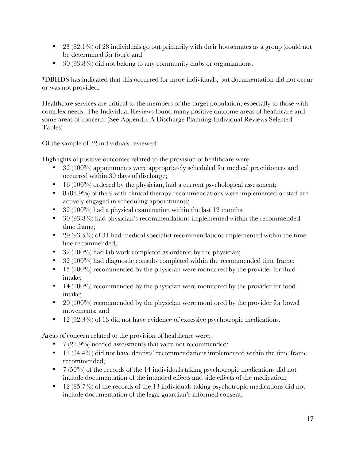- 23 (82.1%) of 28 individuals go out primarily with their housemates as a group (could not be determined for four); and
- 30 (93.8%) did not belong to any community clubs or organizations.

\*DBHDS has indicated that this occurred for more individuals, but documentation did not occur or was not provided.

Healthcare services are critical to the members of the target population, especially to those with complex needs. The Individual Reviews found many positive outcome areas of healthcare and some areas of concern. (See Appendix A Discharge Planning-Individual Reviews Selected Tables)

Of the sample of 32 individuals reviewed:

Highlights of positive outcomes related to the provision of healthcare were:

- 32 (100%) appointments were appropriately scheduled for medical practitioners and occurred within 30 days of discharge;
- $\bullet$  16 (100%) ordered by the physician, had a current psychological assessment;
- 8 (88.9%) of the 9 with clinical therapy recommendations were implemented or staff are actively engaged in scheduling appointments;
- 32 (100%) had a physical examination within the last 12 months;
- 30 (93.8%) had physician's recommendations implemented within the recommended time frame;
- 29 (93.5%) of 31 had medical specialist recommendations implemented within the time line recommended;
- 32 (100%) had lab work completed as ordered by the physician;
- 32 (100%) had diagnostic consults completed within the recommended time frame;
- $\bullet$  15 (100%) recommended by the physician were monitored by the provider for fluid intake;
- 14 (100%) recommended by the physician were monitored by the provider for food intake;
- 20 (100%) recommended by the physician were monitored by the provider for bowel movements; and
- 12 (92.3%) of 13 did not have evidence of excessive psychotropic medications.

Areas of concern related to the provision of healthcare were:

- 7 (21.9%) needed assessments that were not recommended;
- 11 (34.4%) did not have dentists' recommendations implemented within the time frame recommended;
- $7(50\%)$  of the records of the 14 individuals taking psychotropic medications did not include documentation of the intended effects and side effects of the medication;
- 12 (85.7%) of the records of the 13 individuals taking psychotropic medications did not include documentation of the legal guardian's informed consent;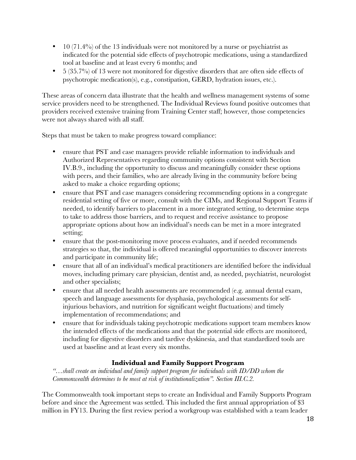- 10 (71.4%) of the 13 individuals were not monitored by a nurse or psychiatrist as indicated for the potential side effects of psychotropic medications, using a standardized tool at baseline and at least every 6 months; and
- 5 (35.7%) of 13 were not monitored for digestive disorders that are often side effects of psychotropic medication(s), e.g., constipation, GERD, hydration issues, etc.).

These areas of concern data illustrate that the health and wellness management systems of some service providers need to be strengthened. The Individual Reviews found positive outcomes that providers received extensive training from Training Center staff; however, those competencies were not always shared with all staff.

Steps that must be taken to make progress toward compliance:

- ensure that PST and case managers provide reliable information to individuals and Authorized Representatives regarding community options consistent with Section IV.B.9., including the opportunity to discuss and meaningfully consider these options with peers, and their families, who are already living in the community before being asked to make a choice regarding options;
- ensure that PST and case managers considering recommending options in a congregate residential setting of five or more, consult with the CIMs, and Regional Support Teams if needed, to identify barriers to placement in a more integrated setting, to determine steps to take to address those barriers, and to request and receive assistance to propose appropriate options about how an individual's needs can be met in a more integrated setting;
- ensure that the post-monitoring move process evaluates, and if needed recommends strategies so that, the individual is offered meaningful opportunities to discover interests and participate in community life;
- ensure that all of an individual's medical practitioners are identified before the individual moves, including primary care physician, dentist and, as needed, psychiatrist, neurologist and other specialists;
- ensure that all needed health assessments are recommended (e.g. annual dental exam, speech and language assessments for dysphasia, psychological assessments for selfinjurious behaviors, and nutrition for significant weight fluctuations) and timely implementation of recommendations; and
- ensure that for individuals taking psychotropic medications support team members know the intended effects of the medications and that the potential side effects are monitored, including for digestive disorders and tardive dyskinesia, and that standardized tools are used at baseline and at least every six months.

#### **Individual and Family Support Program**

*"…shall create an individual and family support program for individuals with ID/DD whom the Commonwealth determines to be most at risk of institutionalization". Section III.C.2.*

The Commonwealth took important steps to create an Individual and Family Supports Program before and since the Agreement was settled. This included the first annual appropriation of \$3 million in FY13. During the first review period a workgroup was established with a team leader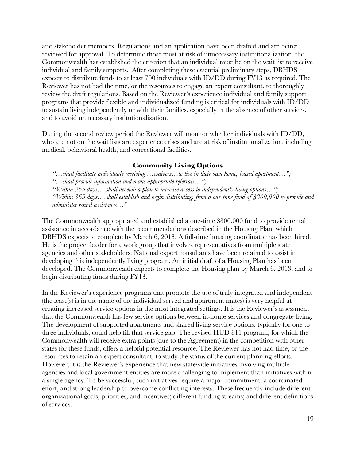and stakeholder members. Regulations and an application have been drafted and are being reviewed for approval. To determine those most at risk of unnecessary institutionalization, the Commonwealth has established the criterion that an individual must be on the wait list to receive individual and family supports. After completing these essential preliminary steps, DBHDS expects to distribute funds to at least 700 individuals with ID/DD during FY13 as required. The Reviewer has not had the time, or the resources to engage an expert consultant, to thoroughly review the draft regulations. Based on the Reviewer's experience individual and family support programs that provide flexible and individualized funding is critical for individuals with ID/DD to sustain living independently or with their families, especially in the absence of other services, and to avoid unnecessary institutionalization.

During the second review period the Reviewer will monitor whether individuals with ID/DD, who are not on the wait lists are experience crises and are at risk of institutionalization, including medical, behavioral health, and correctional facilities.

#### **Community Living Options**

*"…shall facilitate individuals receiving …waivers…to live in their own home, leased apartment…"; "…shall provide information and make appropriate referrals…"; "Within 365 days….shall develop a plan to increase access to independently living options…"; "Within 365 days….shall establish and begin distributing, from a one-time fund of \$800,000 to provide and administer rental assistance…"*

The Commonwealth appropriated and established a one-time \$800,000 fund to provide rental assistance in accordance with the recommendations described in the Housing Plan, which DBHDS expects to complete by March 6, 2013. A full-time housing coordinator has been hired. He is the project leader for a work group that involves representatives from multiple state agencies and other stakeholders. National expert consultants have been retained to assist in developing this independently living program. An initial draft of a Housing Plan has been developed. The Commonwealth expects to complete the Housing plan by March 6, 2013, and to begin distributing funds during FY13.

In the Reviewer's experience programs that promote the use of truly integrated and independent (the lease(s) is in the name of the individual served and apartment mates) is very helpful at creating increased service options in the most integrated settings. It is the Reviewer's assessment that the Commonwealth has few service options between in-home services and congregate living. The development of supported apartments and shared living service options, typically for one to three individuals, could help fill that service gap. The revised HUD 811 program, for which the Commonwealth will receive extra points (due to the Agreement) in the competition with other states for these funds, offers a helpful potential resource. The Reviewer has not had time, or the resources to retain an expert consultant, to study the status of the current planning efforts. However, it is the Reviewer's experience that new statewide initiatives involving multiple agencies and local government entities are more challenging to implement than initiatives within a single agency. To be successful, such initiatives require a major commitment, a coordinated effort, and strong leadership to overcome conflicting interests. These frequently include different organizational goals, priorities, and incentives; different funding streams; and different definitions of services.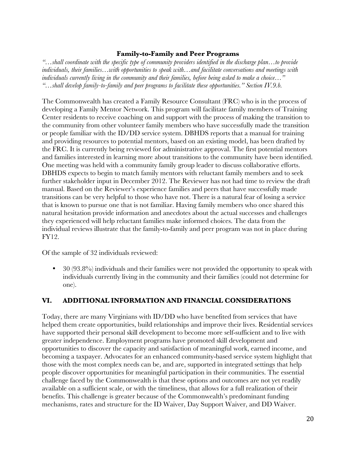#### **Family-to-Family and Peer Programs**

*"…shall coordinate with the specific type of community providers identified in the discharge plan…to provide individuals, their families…with opportunities to speak with…and facilitate conversations and meetings with individuals currently living in the community and their families, before being asked to make a choice…" "…shall develop family-to-family and peer programs to facilitate these opportunities." Section IV.9.b.*

The Commonwealth has created a Family Resource Consultant (FRC) who is in the process of developing a Family Mentor Network. This program will facilitate family members of Training Center residents to receive coaching on and support with the process of making the transition to the community from other volunteer family members who have successfully made the transition or people familiar with the ID/DD service system. DBHDS reports that a manual for training and providing resources to potential mentors, based on an existing model, has been drafted by the FRC. It is currently being reviewed for administrative approval. The first potential mentors and families interested in learning more about transitions to the community have been identified. One meeting was held with a community family group leader to discuss collaborative efforts. DBHDS expects to begin to match family mentors with reluctant family members and to seek further stakeholder input in December 2012. The Reviewer has not had time to review the draft manual. Based on the Reviewer's experience families and peers that have successfully made transitions can be very helpful to those who have not. There is a natural fear of losing a service that is known to pursue one that is not familiar. Having family members who once shared this natural hesitation provide information and anecdotes about the actual successes and challenges they experienced will help reluctant families make informed choices. The data from the individual reviews illustrate that the family-to-family and peer program was not in place during FY12.

Of the sample of 32 individuals reviewed:

! 30 (93.8%) individuals and their families were not provided the opportunity to speak with individuals currently living in the community and their families (could not determine for one).

#### **VI. ADDITIONAL INFORMATION AND FINANCIAL CONSIDERATIONS**

Today, there are many Virginians with ID/DD who have benefited from services that have helped them create opportunities, build relationships and improve their lives. Residential services have supported their personal skill development to become more self-sufficient and to live with greater independence. Employment programs have promoted skill development and opportunities to discover the capacity and satisfaction of meaningful work, earned income, and becoming a taxpayer. Advocates for an enhanced community-based service system highlight that those with the most complex needs can be, and are, supported in integrated settings that help people discover opportunities for meaningful participation in their communities. The essential challenge faced by the Commonwealth is that these options and outcomes are not yet readily available on a sufficient scale, or with the timeliness, that allows for a full realization of their benefits. This challenge is greater because of the Commonwealth's predominant funding mechanisms, rates and structure for the ID Waiver, Day Support Waiver, and DD Waiver.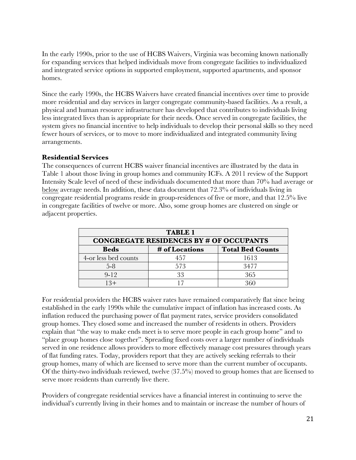In the early 1990s, prior to the use of HCBS Waivers, Virginia was becoming known nationally for expanding services that helped individuals move from congregate facilities to individualized and integrated service options in supported employment, supported apartments, and sponsor homes.

Since the early 1990s, the HCBS Waivers have created financial incentives over time to provide more residential and day services in larger congregate community-based facilities. As a result, a physical and human resource infrastructure has developed that contributes to individuals living less integrated lives than is appropriate for their needs. Once served in congregate facilities, the system gives no financial incentive to help individuals to develop their personal skills so they need fewer hours of services, or to move to more individualized and integrated community living arrangements.

#### **Residential Services**

The consequences of current HCBS waiver financial incentives are illustrated by the data in Table 1 about those living in group homes and community ICFs. A 2011 review of the Support Intensity Scale level of need of these individuals documented that more than 70% had average or below average needs. In addition, these data document that 72.3% of individuals living in congregate residential programs reside in group-residences of five or more, and that 12.5% live in congregate facilities of twelve or more. Also, some group homes are clustered on single or adjacent properties.

| <b>TABLE 1</b>                                           |     |      |  |  |  |  |
|----------------------------------------------------------|-----|------|--|--|--|--|
| <b>CONGREGATE RESIDENCES BY # OF OCCUPANTS</b>           |     |      |  |  |  |  |
| <b>Total Bed Counts</b><br># of Locations<br><b>Beds</b> |     |      |  |  |  |  |
| 4-or less bed counts                                     | 457 | 1613 |  |  |  |  |
| $5-8$                                                    | 573 | 3477 |  |  |  |  |
| $9 - 12$                                                 | 33  | 365  |  |  |  |  |
| $13+$                                                    |     | ጻ6በ  |  |  |  |  |

For residential providers the HCBS waiver rates have remained comparatively flat since being established in the early 1990s while the cumulative impact of inflation has increased costs. As inflation reduced the purchasing power of flat payment rates, service providers consolidated group homes. They closed some and increased the number of residents in others. Providers explain that "the way to make ends meet is to serve more people in each group home" and to "place group homes close together". Spreading fixed costs over a larger number of individuals served in one residence allows providers to more effectively manage cost pressures through years of flat funding rates. Today, providers report that they are actively seeking referrals to their group homes, many of which are licensed to serve more than the current number of occupants. Of the thirty-two individuals reviewed, twelve (37.5%) moved to group homes that are licensed to serve more residents than currently live there.

Providers of congregate residential services have a financial interest in continuing to serve the individual's currently living in their homes and to maintain or increase the number of hours of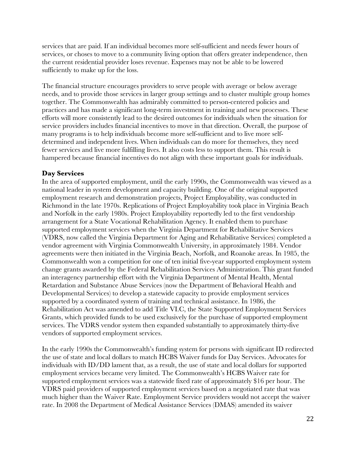services that are paid. If an individual becomes more self-sufficient and needs fewer hours of services, or choses to move to a community living option that offers greater independence, then the current residential provider loses revenue. Expenses may not be able to be lowered sufficiently to make up for the loss.

The financial structure encourages providers to serve people with average or below average needs, and to provide those services in larger group settings and to cluster multiple group homes together. The Commonwealth has admirably committed to person-centered policies and practices and has made a significant long-term investment in training and new processes. These efforts will more consistently lead to the desired outcomes for individuals when the situation for service providers includes financial incentives to move in that direction. Overall, the purpose of many programs is to help individuals become more self-sufficient and to live more selfdetermined and independent lives. When individuals can do more for themselves, they need fewer services and live more fulfilling lives. It also costs less to support them. This result is hampered because financial incentives do not align with these important goals for individuals.

#### **Day Services**

In the area of supported employment, until the early 1990s, the Commonwealth was viewed as a national leader in system development and capacity building. One of the original supported employment research and demonstration projects, Project Employability, was conducted in Richmond in the late 1970s. Replications of Project Employability took place in Virginia Beach and Norfolk in the early 1980s. Project Employability reportedly led to the first vendorship arrangement for a State Vocational Rehabilitation Agency. It enabled them to purchase supported employment services when the Virginia Department for Rehabilitative Services (VDRS, now called the Virginia Department for Aging and Rehabilitative Services) completed a vendor agreement with Virginia Commonwealth University, in approximately 1984. Vendor agreements were then initiated in the Virginia Beach, Norfolk, and Roanoke areas. In 1985, the Commonwealth won a competition for one of ten initial five-year supported employment system change grants awarded by the Federal Rehabilitation Services Administration. This grant funded an interagency partnership effort with the Virginia Department of Mental Health, Mental Retardation and Substance Abuse Services (now the Department of Behavioral Health and Developmental Services) to develop a statewide capacity to provide employment services supported by a coordinated system of training and technical assistance. In 1986, the Rehabilitation Act was amended to add Title VI.C, the State Supported Employment Services Grants, which provided funds to be used exclusively for the purchase of supported employment services. The VDRS vendor system then expanded substantially to approximately thirty-five vendors of supported employment services.

In the early 1990s the Commonwealth's funding system for persons with significant ID redirected the use of state and local dollars to match HCBS Waiver funds for Day Services. Advocates for individuals with ID/DD lament that, as a result, the use of state and local dollars for supported employment services became very limited. The Commonwealth's HCBS Waiver rate for supported employment services was a statewide fixed rate of approximately \$16 per hour. The VDRS paid providers of supported employment services based on a negotiated rate that was much higher than the Waiver Rate. Employment Service providers would not accept the waiver rate. In 2008 the Department of Medical Assistance Services (DMAS) amended its waiver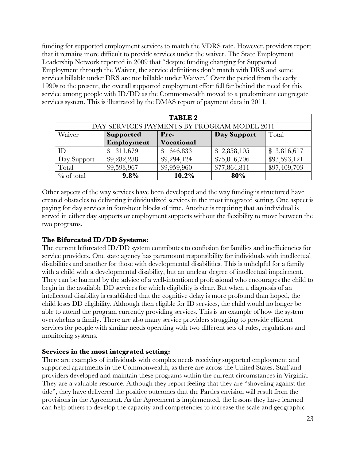funding for supported employment services to match the VDRS rate. However, providers report that it remains more difficult to provide services under the waiver. The State Employment Leadership Network reported in 2009 that "despite funding changing for Supported Employment through the Waiver, the service definitions don't match with DRS and some services billable under DRS are not billable under Waiver." Over the period from the early 1990s to the present, the overall supported employment effort fell far behind the need for this service among people with ID/DD as the Commonwealth moved to a predominant congregate services system. This is illustrated by the DMAS report of payment data in 2011.

| <b>TABLE 2</b> |                  |                   |                                             |              |  |  |
|----------------|------------------|-------------------|---------------------------------------------|--------------|--|--|
|                |                  |                   | DAY SERVICES PAYMENTS BY PROGRAM MODEL 2011 |              |  |  |
| Waiver         | <b>Supported</b> | Pre-              | Day Support                                 | Total        |  |  |
|                | Employment       | <b>Vocational</b> |                                             |              |  |  |
| ID             | 311,679          | 646,833           | \$2,858,105                                 | \$3,816,617  |  |  |
| Day Support    | \$9,282,288      | \$9,294,124       | \$75,016,706                                | \$93,593,121 |  |  |
| Total          | \$9,593,967      | \$9,959,960       | \$77,864,811                                | \$97,409,703 |  |  |
| $\%$ of total  | 9.8%             | 10.2%             | 80%                                         |              |  |  |

Other aspects of the way services have been developed and the way funding is structured have created obstacles to delivering individualized services in the most integrated setting. One aspect is paying for day services in four-hour blocks of time. Another is requiring that an individual is served in either day supports or employment supports without the flexibility to move between the two programs.

#### **The Bifurcated ID/DD Systems:**

The current bifurcated ID/DD system contributes to confusion for families and inefficiencies for service providers. One state agency has paramount responsibility for individuals with intellectual disabilities and another for those with developmental disabilities. This is unhelpful for a family with a child with a developmental disability, but an unclear degree of intellectual impairment. They can be harmed by the advice of a well-intentioned professional who encourages the child to begin in the available DD services for which eligibility is clear. But when a diagnosis of an intellectual disability is established that the cognitive delay is more profound than hoped, the child loses DD eligibility. Although then eligible for ID services, the child would no longer be able to attend the program currently providing services. This is an example of how the system overwhelms a family. There are also many service providers struggling to provide efficient services for people with similar needs operating with two different sets of rules, regulations and monitoring systems.

#### **Services in the most integrated setting:**

There are examples of individuals with complex needs receiving supported employment and supported apartments in the Commonwealth, as there are across the United States. Staff and providers developed and maintain these programs within the current circumstances in Virginia. They are a valuable resource. Although they report feeling that they are "shoveling against the tide", they have delivered the positive outcomes that the Parties envision will result from the provisions in the Agreement. As the Agreement is implemented, the lessons they have learned can help others to develop the capacity and competencies to increase the scale and geographic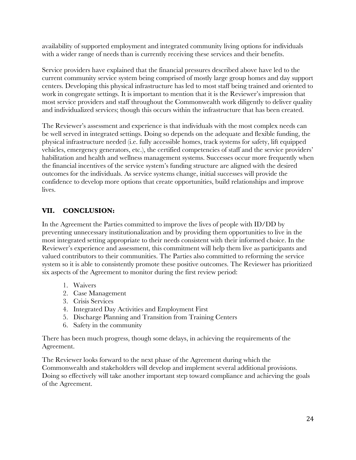availability of supported employment and integrated community living options for individuals with a wider range of needs than is currently receiving these services and their benefits.

Service providers have explained that the financial pressures described above have led to the current community service system being comprised of mostly large group homes and day support centers. Developing this physical infrastructure has led to most staff being trained and oriented to work in congregate settings. It is important to mention that it is the Reviewer's impression that most service providers and staff throughout the Commonwealth work diligently to deliver quality and individualized services; though this occurs within the infrastructure that has been created.

The Reviewer's assessment and experience is that individuals with the most complex needs can be well served in integrated settings. Doing so depends on the adequate and flexible funding, the physical infrastructure needed (i.e. fully accessible homes, track systems for safety, lift equipped vehicles, emergency generators, etc.), the certified competencies of staff and the service providers' habilitation and health and wellness management systems. Successes occur more frequently when the financial incentives of the service system's funding structure are aligned with the desired outcomes for the individuals. As service systems change, initial successes will provide the confidence to develop more options that create opportunities, build relationships and improve lives.

#### **VII. CONCLUSION:**

In the Agreement the Parties committed to improve the lives of people with ID/DD by preventing unnecessary institutionalization and by providing them opportunities to live in the most integrated setting appropriate to their needs consistent with their informed choice. In the Reviewer's experience and assessment, this commitment will help them live as participants and valued contributors to their communities. The Parties also committed to reforming the service system so it is able to consistently promote these positive outcomes. The Reviewer has prioritized six aspects of the Agreement to monitor during the first review period:

- 1. Waivers
- 2. Case Management
- 3. Crisis Services
- 4. Integrated Day Activities and Employment First
- 5. Discharge Planning and Transition from Training Centers
- 6. Safety in the community

There has been much progress, though some delays, in achieving the requirements of the Agreement.

The Reviewer looks forward to the next phase of the Agreement during which the Commonwealth and stakeholders will develop and implement several additional provisions. Doing so effectively will take another important step toward compliance and achieving the goals of the Agreement.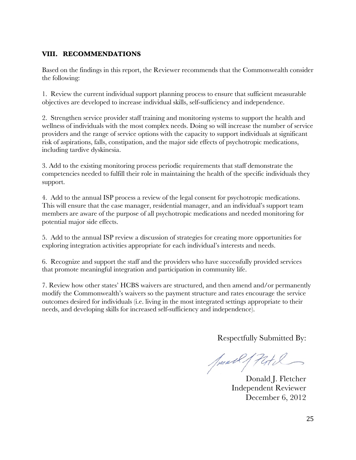#### **VIII. RECOMMENDATIONS**

Based on the findings in this report, the Reviewer recommends that the Commonwealth consider the following:

1. Review the current individual support planning process to ensure that sufficient measurable objectives are developed to increase individual skills, self-sufficiency and independence.

2. Strengthen service provider staff training and monitoring systems to support the health and wellness of individuals with the most complex needs. Doing so will increase the number of service providers and the range of service options with the capacity to support individuals at significant risk of aspirations, falls, constipation, and the major side effects of psychotropic medications, including tardive dyskinesia.

3. Add to the existing monitoring process periodic requirements that staff demonstrate the competencies needed to fulfill their role in maintaining the health of the specific individuals they support.

4. Add to the annual ISP process a review of the legal consent for psychotropic medications. This will ensure that the case manager, residential manager, and an individual's support team members are aware of the purpose of all psychotropic medications and needed monitoring for potential major side effects.

5. Add to the annual ISP review a discussion of strategies for creating more opportunities for exploring integration activities appropriate for each individual's interests and needs.

6. Recognize and support the staff and the providers who have successfully provided services that promote meaningful integration and participation in community life.

7. Review how other states' HCBS waivers are structured, and then amend and/or permanently modify the Commonwealth's waivers so the payment structure and rates encourage the service outcomes desired for individuals (i.e. living in the most integrated settings appropriate to their needs, and developing skills for increased self-sufficiency and independence).

Respectfully Submitted By:

Junel / Patil

Donald J. Fletcher Independent Reviewer December 6, 2012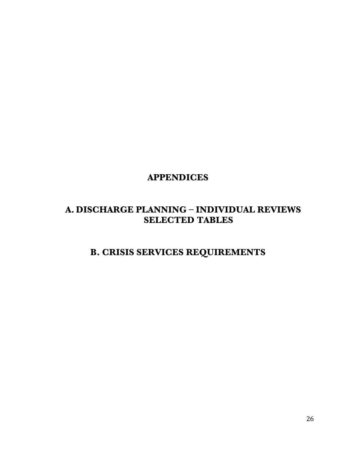## **APPENDICES**

## **A. DISCHARGE PLANNING – INDIVIDUAL REVIEWS SELECTED TABLES**

## **B. CRISIS SERVICES REQUIREMENTS**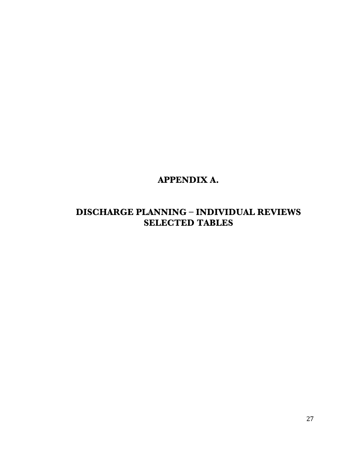## **APPENDIX A.**

## **DISCHARGE PLANNING – INDIVIDUAL REVIEWS SELECTED TABLES**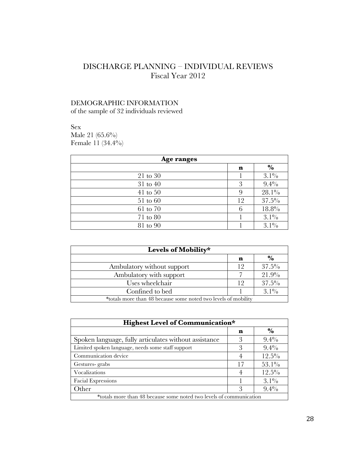### DISCHARGE PLANNING – INDIVIDUAL REVIEWS Fiscal Year 2012

#### DEMOGRAPHIC INFORMATION

of the sample of 32 individuals reviewed

Sex Male 21 (65.6%) Female 11 (34.4%)

| Age ranges   |    |               |
|--------------|----|---------------|
|              | n  | $\frac{6}{6}$ |
| 21 to 30     |    | $3.1\%$       |
| 31 to 40     | 3  | $9.4\%$       |
| $41$ to $50$ | 9  | $28.1\%$      |
| 51 to 60     | 12 | $37.5\%$      |
| 61 to 70     | 6  | $18.8\%$      |
| 71 to 80     |    | $3.1\%$       |
| 81 to 90     |    | $3.1\%$       |

| Levels of Mobility*                                            |    |               |
|----------------------------------------------------------------|----|---------------|
|                                                                | n  | $\frac{6}{6}$ |
| Ambulatory without support                                     | 19 | $37.5\%$      |
| Ambulatory with support                                        |    | 21.9%         |
| Uses wheelchair                                                | 19 | $37.5\%$      |
| Confined to bed                                                |    | $3.1\%$       |
| *totals more than 48 because some noted two levels of mobility |    |               |

| Highest Level of Communication*                                     |    |               |  |  |
|---------------------------------------------------------------------|----|---------------|--|--|
|                                                                     | n  | $\frac{6}{6}$ |  |  |
| Spoken language, fully articulates without assistance               | 3  | $9.4\%$       |  |  |
| Limited spoken language, needs some staff support                   | 3  | $9.4\%$       |  |  |
| Communication device                                                | 4  | $12.5\%$      |  |  |
| Gestures-grabs                                                      | 17 | $53.1\%$      |  |  |
| Vocalizations                                                       | 4  | $12.5\%$      |  |  |
| <b>Facial Expressions</b>                                           |    | $3.1\%$       |  |  |
| Other                                                               | 3  | $9.4\%$       |  |  |
| *totals more than 48 because some noted two levels of communication |    |               |  |  |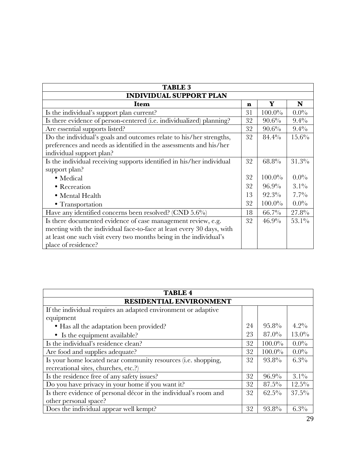| <b>TABLE 3</b>                                                        |    |           |          |  |  |  |  |
|-----------------------------------------------------------------------|----|-----------|----------|--|--|--|--|
| <b>INDIVIDUAL SUPPORT PLAN</b>                                        |    |           |          |  |  |  |  |
| Item                                                                  | n  | Y         | N        |  |  |  |  |
| Is the individual's support plan current?                             | 31 | $100.0\%$ | $0.0\%$  |  |  |  |  |
| Is there evidence of person-centered (i.e. individualized) planning?  | 32 | $90.6\%$  | $9.4\%$  |  |  |  |  |
| Are essential supports listed?                                        | 32 | $90.6\%$  | $9.4\%$  |  |  |  |  |
| Do the individual's goals and outcomes relate to his/her strengths,   | 32 | 84.4%     | $15.6\%$ |  |  |  |  |
| preferences and needs as identified in the assessments and his/her    |    |           |          |  |  |  |  |
| individual support plan?                                              |    |           |          |  |  |  |  |
| Is the individual receiving supports identified in his/her individual | 32 | 68.8%     | 31.3%    |  |  |  |  |
| support plan?                                                         |    |           |          |  |  |  |  |
| • Medical                                                             | 32 | $100.0\%$ | $0.0\%$  |  |  |  |  |
| • Recreation                                                          | 32 | $96.9\%$  | $3.1\%$  |  |  |  |  |
| • Mental Health                                                       | 13 | $92.3\%$  | $7.7\%$  |  |  |  |  |
| • Transportation                                                      | 32 | $100.0\%$ | $0.0\%$  |  |  |  |  |
| Have any identified concerns been resolved? (CND $5.6\%$ )            | 18 | $66.7\%$  | 27.8%    |  |  |  |  |
| Is there documented evidence of case management review, e.g.          | 32 | 46.9%     | $53.1\%$ |  |  |  |  |
| meeting with the individual face-to-face at least every 30 days, with |    |           |          |  |  |  |  |
| at least one such visit every two months being in the individual's    |    |           |          |  |  |  |  |
| place of residence?                                                   |    |           |          |  |  |  |  |

| <b>TABLE 4</b>                                                   |    |           |          |  |  |  |  |
|------------------------------------------------------------------|----|-----------|----------|--|--|--|--|
| <b>RESIDENTIAL ENVIRONMENT</b>                                   |    |           |          |  |  |  |  |
| If the individual requires an adapted environment or adaptive    |    |           |          |  |  |  |  |
| equipment                                                        |    |           |          |  |  |  |  |
| • Has all the adaptation been provided?                          | 24 | $95.8\%$  | $4.2\%$  |  |  |  |  |
| • Is the equipment available?                                    | 23 | $87.0\%$  | $13.0\%$ |  |  |  |  |
| Is the individual's residence clean?                             | 32 | $100.0\%$ | $0.0\%$  |  |  |  |  |
| Are food and supplies adequate?                                  | 32 | $100.0\%$ | $0.0\%$  |  |  |  |  |
| Is your home located near community resources (i.e. shopping,    | 32 | $93.8\%$  | $6.3\%$  |  |  |  |  |
| recreational sites, churches, etc.?)                             |    |           |          |  |  |  |  |
| Is the residence free of any safety issues?                      | 32 | $96.9\%$  | $3.1\%$  |  |  |  |  |
| Do you have privacy in your home if you want it?                 | 32 | $87.5\%$  | $12.5\%$ |  |  |  |  |
| Is there evidence of personal décor in the individual's room and | 32 | $62.5\%$  | $37.5\%$ |  |  |  |  |
| other personal space?                                            |    |           |          |  |  |  |  |
| Does the individual appear well kempt?                           | 32 | 93.8%     | $6.3\%$  |  |  |  |  |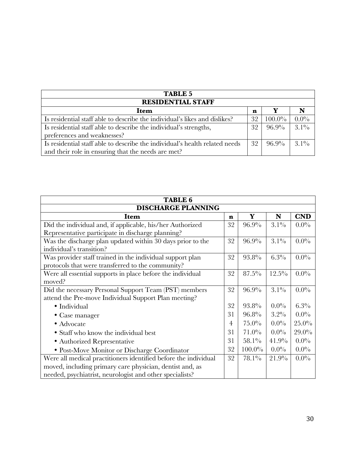| <b>TABLE 5</b>                                                              |    |           |         |  |
|-----------------------------------------------------------------------------|----|-----------|---------|--|
| <b>RESIDENTIAL STAFF</b>                                                    |    |           |         |  |
| Item                                                                        | n  |           |         |  |
| Is residential staff able to describe the individual's likes and dislikes?  | 32 | $100.0\%$ | $0.0\%$ |  |
| Is residential staff able to describe the individual's strengths,           | 32 | $96.9\%$  | $3.1\%$ |  |
| preferences and weaknesses?                                                 |    |           |         |  |
| Is residential staff able to describe the individual's health related needs | 32 | $96.9\%$  | $31\%$  |  |
| and their role in ensuring that the needs are met?                          |    |           |         |  |

| <b>TABLE 6</b>                                                  |    |           |          |            |  |  |
|-----------------------------------------------------------------|----|-----------|----------|------------|--|--|
| <b>DISCHARGE PLANNING</b>                                       |    |           |          |            |  |  |
| Item                                                            | n  | Y         | N        | <b>CND</b> |  |  |
| Did the individual and, if applicable, his/her Authorized       | 32 | $96.9\%$  | $3.1\%$  | $0.0\%$    |  |  |
| Representative participate in discharge planning?               |    |           |          |            |  |  |
| Was the discharge plan updated within 30 days prior to the      | 32 | 96.9%     | $3.1\%$  | $0.0\%$    |  |  |
| individual's transition?                                        |    |           |          |            |  |  |
| Was provider staff trained in the individual support plan       | 32 | 93.8%     | $6.3\%$  | $0.0\%$    |  |  |
| protocols that were transferred to the community?               |    |           |          |            |  |  |
| Were all essential supports in place before the individual      | 32 | $87.5\%$  | $12.5\%$ | $0.0\%$    |  |  |
| moved?                                                          |    |           |          |            |  |  |
| Did the necessary Personal Support Team (PST) members           | 32 | 96.9%     | $3.1\%$  | $0.0\%$    |  |  |
| attend the Pre-move Individual Support Plan meeting?            |    |           |          |            |  |  |
| · Individual                                                    | 32 | 93.8%     | $0.0\%$  | 6.3%       |  |  |
| • Case manager                                                  | 31 | $96.8\%$  | $3.2\%$  | $0.0\%$    |  |  |
| • Advocate                                                      | 4  | $75.0\%$  | $0.0\%$  | $25.0\%$   |  |  |
| • Staff who know the individual best                            | 31 | $71.0\%$  | $0.0\%$  | $29.0\%$   |  |  |
| · Authorized Representative                                     | 31 | $58.1\%$  | 41.9%    | $0.0\%$    |  |  |
| • Post-Move Monitor or Discharge Coordinator                    | 32 | $100.0\%$ | $0.0\%$  | $0.0\%$    |  |  |
| Were all medical practitioners identified before the individual | 32 | 78.1%     | 21.9%    | $0.0\%$    |  |  |
| moved, including primary care physician, dentist and, as        |    |           |          |            |  |  |
| needed, psychiatrist, neurologist and other specialists?        |    |           |          |            |  |  |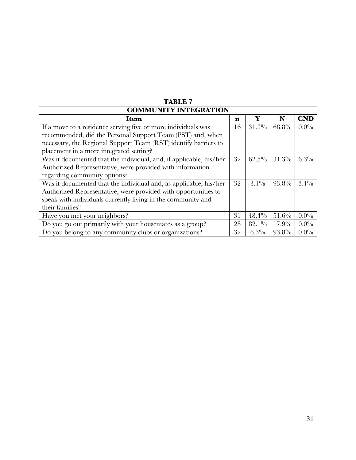| <b>TABLE 7</b>                                                     |    |          |          |            |  |  |
|--------------------------------------------------------------------|----|----------|----------|------------|--|--|
| <b>COMMUNITY INTEGRATION</b>                                       |    |          |          |            |  |  |
| Item                                                               | n  | Y        | N        | <b>CND</b> |  |  |
| If a move to a residence serving five or more individuals was      | 16 | $31.3\%$ | 68.8%    | $0.0\%$    |  |  |
| recommended, did the Personal Support Team (PST) and, when         |    |          |          |            |  |  |
| necessary, the Regional Support Team (RST) identify barriers to    |    |          |          |            |  |  |
| placement in a more integrated setting?                            |    |          |          |            |  |  |
| Was it documented that the individual, and, if applicable, his/her | 32 | $62.5\%$ | $31.3\%$ | $6.3\%$    |  |  |
| Authorized Representative, were provided with information          |    |          |          |            |  |  |
| regarding community options?                                       |    |          |          |            |  |  |
| Was it documented that the individual and, as applicable, his/her  | 32 | $3.1\%$  | 93.8%    | $3.1\%$    |  |  |
| Authorized Representative, were provided with opportunities to     |    |          |          |            |  |  |
| speak with individuals currently living in the community and       |    |          |          |            |  |  |
| their families?                                                    |    |          |          |            |  |  |
| Have you met your neighbors?                                       | 31 | 48.4%    | $51.6\%$ | $0.0\%$    |  |  |
| Do you go out primarily with your housemates as a group?           | 28 | $82.1\%$ | $17.9\%$ | $0.0\%$    |  |  |
| Do you belong to any community clubs or organizations?             | 32 | $6.3\%$  | 93.8%    | $0.0\%$    |  |  |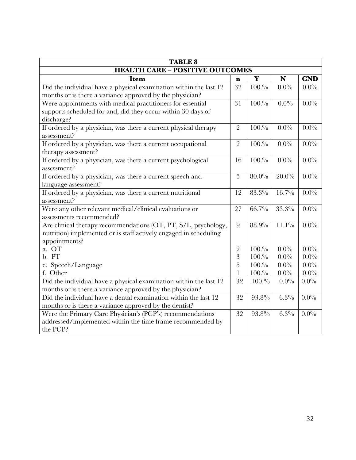| <b>TABLE 8</b>                                                    |                |          |          |            |  |  |
|-------------------------------------------------------------------|----------------|----------|----------|------------|--|--|
| <b>HEALTH CARE - POSITIVE OUTCOMES</b>                            |                |          |          |            |  |  |
| Item                                                              | n              | Y        | N        | <b>CND</b> |  |  |
| Did the individual have a physical examination within the last 12 | 32             | 100.%    | $0.0\%$  | $0.0\%$    |  |  |
| months or is there a variance approved by the physician?          |                |          |          |            |  |  |
| Were appointments with medical practitioners for essential        | 31             | 100.%    | $0.0\%$  | $0.0\%$    |  |  |
| supports scheduled for and, did they occur within 30 days of      |                |          |          |            |  |  |
| discharge?                                                        |                |          |          |            |  |  |
| If ordered by a physician, was there a current physical therapy   | $\overline{2}$ | 100.%    | $0.0\%$  | $0.0\%$    |  |  |
| assessment?                                                       |                |          |          |            |  |  |
| If ordered by a physician, was there a current occupational       | $\overline{2}$ | 100.%    | $0.0\%$  | $0.0\%$    |  |  |
| therapy assessment?                                               |                |          |          |            |  |  |
| If ordered by a physician, was there a current psychological      | 16             | 100.%    | $0.0\%$  | $0.0\%$    |  |  |
| assessment?                                                       |                |          |          |            |  |  |
| If ordered by a physician, was there a current speech and         | $\overline{5}$ | $80.0\%$ | $20.0\%$ | $0.0\%$    |  |  |
| language assessment?                                              |                |          |          |            |  |  |
| If ordered by a physician, was there a current nutritional        | 12             | 83.3%    | $16.7\%$ | $0.0\%$    |  |  |
| assessment?                                                       |                |          |          |            |  |  |
| Were any other relevant medical/clinical evaluations or           | 27             | 66.7%    | 33.3%    | $0.0\%$    |  |  |
| assessments recommended?                                          |                |          |          |            |  |  |
| Are clinical therapy recommendations (OT, PT, S/L, psychology,    | 9              | 88.9%    | $11.1\%$ | $0.0\%$    |  |  |
| nutrition) implemented or is staff actively engaged in scheduling |                |          |          |            |  |  |
| appointments?                                                     |                |          |          |            |  |  |
| a. OT                                                             | $\overline{2}$ | 100.%    | $0.0\%$  | $0.0\%$    |  |  |
| b. PT                                                             | 3              | 100.%    | $0.0\%$  | $0.0\%$    |  |  |
| c. Speech/Language                                                | 5              | 100.%    | $0.0\%$  | $0.0\%$    |  |  |
| f. Other                                                          | 1              | 100.%    | $0.0\%$  | $0.0\%$    |  |  |
| Did the individual have a physical examination within the last 12 | 32             | 100.%    | $0.0\%$  | $0.0\%$    |  |  |
| months or is there a variance approved by the physician?          |                |          |          |            |  |  |
| Did the individual have a dental examination within the last 12   | 32             | 93.8%    | $6.3\%$  | $0.0\%$    |  |  |
| months or is there a variance approved by the dentist?            |                |          |          |            |  |  |
| Were the Primary Care Physician's (PCP's) recommendations         | 32             | 93.8%    | 6.3%     | $0.0\%$    |  |  |
| addressed/implemented within the time frame recommended by        |                |          |          |            |  |  |
| the PCP?                                                          |                |          |          |            |  |  |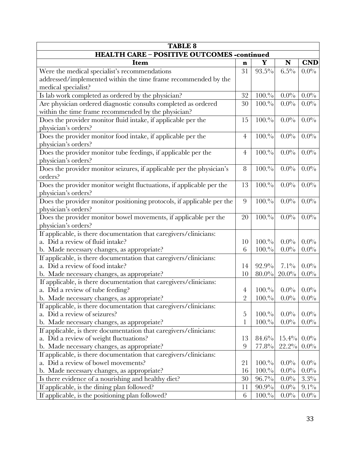| <b>TABLE 8</b>                                                         |                |          |          |            |
|------------------------------------------------------------------------|----------------|----------|----------|------------|
| <b>HEALTH CARE - POSITIVE OUTCOMES -continued</b>                      |                |          |          |            |
| Item                                                                   | n              | Y        | N        | <b>CND</b> |
| Were the medical specialist's recommendations                          | 31             | $93.5\%$ | $6.5\%$  | $0.0\%$    |
| addressed/implemented within the time frame recommended by the         |                |          |          |            |
| medical specialist?                                                    |                |          |          |            |
| Is lab work completed as ordered by the physician?                     | 32             | 100.%    | $0.0\%$  | $0.0\%$    |
| Are physician ordered diagnostic consults completed as ordered         | 30             | 100.%    | $0.0\%$  | $0.0\%$    |
| within the time frame recommended by the physician?                    |                |          |          |            |
| Does the provider monitor fluid intake, if applicable per the          | 15             | 100.%    | $0.0\%$  | $0.0\%$    |
| physician's orders?                                                    |                |          |          |            |
| Does the provider monitor food intake, if applicable per the           | $\overline{4}$ | 100.%    | $0.0\%$  | $0.0\%$    |
| physician's orders?                                                    |                |          |          |            |
| Does the provider monitor tube feedings, if applicable per the         | $\overline{4}$ | 100.%    | $0.0\%$  | $0.0\%$    |
| physician's orders?                                                    |                |          |          |            |
| Does the provider monitor seizures, if applicable per the physician's  | 8              | 100.%    | $0.0\%$  | $0.0\%$    |
| orders?                                                                |                |          |          |            |
| Does the provider monitor weight fluctuations, if applicable per the   | 13             | 100.%    | $0.0\%$  | $0.0\%$    |
| physician's orders?                                                    |                |          |          |            |
| Does the provider monitor positioning protocols, if applicable per the | 9              | 100.%    | $0.0\%$  | $0.0\%$    |
| physician's orders?                                                    |                |          |          |            |
| Does the provider monitor bowel movements, if applicable per the       | 20             | 100.%    | $0.0\%$  | $0.0\%$    |
| physician's orders?                                                    |                |          |          |            |
| If applicable, is there documentation that caregivers/clinicians:      |                |          |          |            |
| a. Did a review of fluid intake?                                       | 10             | 100.%    | $0.0\%$  | $0.0\%$    |
| b. Made necessary changes, as appropriate?                             | 6              | 100.%    | $0.0\%$  | $0.0\%$    |
| If applicable, is there documentation that caregivers/clinicians:      |                |          |          |            |
| a. Did a review of food intake?                                        | 14             | 92.9%    | $7.1\%$  | $0.0\%$    |
| b. Made necessary changes, as appropriate?                             | 10             | $80.0\%$ | $20.0\%$ | $0.0\%$    |
| If applicable, is there documentation that caregivers/clinicians:      |                |          |          |            |
| a. Did a review of tube feeding?                                       | $\overline{4}$ | 100.%    | $0.0\%$  | $0.0\%$    |
| b. Made necessary changes, as appropriate?                             | $\overline{2}$ | 100.%    | $0.0\%$  | $0.0\%$    |
| If applicable, is there documentation that caregivers/clinicians:      |                |          |          |            |
| a. Did a review of seizures?                                           | 5              | 100.%    | $0.0\%$  | $0.0\%$    |
| b. Made necessary changes, as appropriate?                             | 1              | 100.%    | $0.0\%$  | $0.0\%$    |
| If applicable, is there documentation that caregivers/clinicians:      |                |          |          |            |
| a. Did a review of weight fluctuations?                                | 13             | 84.6%    | $15.4\%$ | $0.0\%$    |
| b. Made necessary changes, as appropriate?                             | 9              | $77.8\%$ | 22.2%    | $0.0\%$    |
| If applicable, is there documentation that caregivers/clinicians:      |                |          |          |            |
| a. Did a review of bowel movements?                                    | 21             | 100.%    | $0.0\%$  | $0.0\%$    |
| b. Made necessary changes, as appropriate?                             | 16             | 100.%    | $0.0\%$  | $0.0\%$    |
| Is there evidence of a nourishing and healthy diet?                    | 30             | $96.7\%$ | $0.0\%$  | $3.3\%$    |
| If applicable, is the dining plan followed?                            | 11             | $90.9\%$ | $0.0\%$  | $9.1\%$    |
| If applicable, is the positioning plan followed?                       | 6              | 100.%    | $0.0\%$  | $0.0\%$    |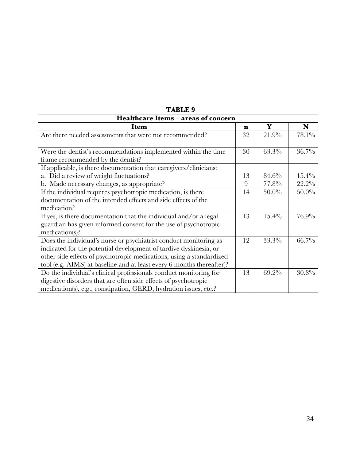| <b>TABLE 9</b>                                                        |    |          |          |  |
|-----------------------------------------------------------------------|----|----------|----------|--|
| Healthcare Items - areas of concern                                   |    |          |          |  |
| <b>Item</b>                                                           | n  | Y        | N        |  |
| Are there needed assessments that were not recommended?               | 32 | 21.9%    | 78.1%    |  |
|                                                                       |    |          |          |  |
| Were the dentist's recommendations implemented within the time        | 30 | 63.3%    | 36.7%    |  |
| frame recommended by the dentist?                                     |    |          |          |  |
| If applicable, is there documentation that caregivers/clinicians:     |    |          |          |  |
| a. Did a review of weight fluctuations?                               | 13 | 84.6%    | $15.4\%$ |  |
| b. Made necessary changes, as appropriate?                            | 9  | 77.8%    | $22.2\%$ |  |
| If the individual requires psychotropic medication, is there          |    | $50.0\%$ | $50.0\%$ |  |
| documentation of the intended effects and side effects of the         |    |          |          |  |
| medication?                                                           |    |          |          |  |
| If yes, is there documentation that the individual and/or a legal     | 13 | $15.4\%$ | 76.9%    |  |
| guardian has given informed consent for the use of psychotropic       |    |          |          |  |
| medication(s)?                                                        |    |          |          |  |
| Does the individual's nurse or psychiatrist conduct monitoring as     | 12 | 33.3%    | $66.7\%$ |  |
| indicated for the potential development of tardive dyskinesia, or     |    |          |          |  |
| other side effects of psychotropic medications, using a standardized  |    |          |          |  |
| tool (e.g. AIMS) at baseline and at least every 6 months thereafter)? |    |          |          |  |
| Do the individual's clinical professionals conduct monitoring for     | 13 | 69.2%    | 30.8%    |  |
| digestive disorders that are often side effects of psychotropic       |    |          |          |  |
| medication(s), e.g., constipation, GERD, hydration issues, etc.?      |    |          |          |  |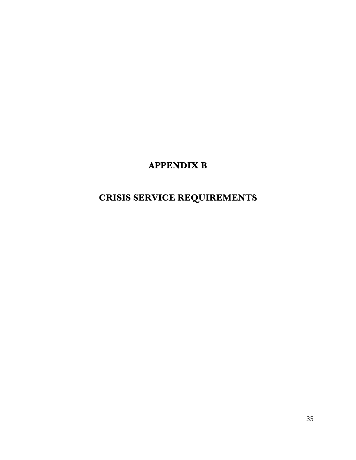## **APPENDIX B**

## **CRISIS SERVICE REQUIREMENTS**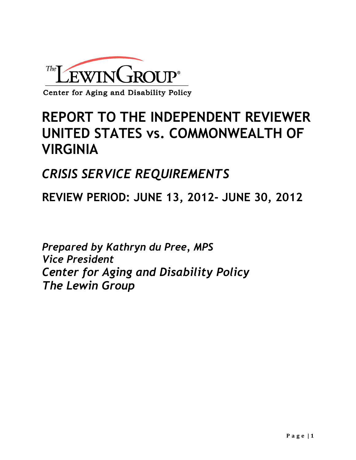

## **REPORT TO THE INDEPENDENT REVIEWER UNITED STATES vs. COMMONWEALTH OF VIRGINIA**

## *CRISIS SERVICE REQUIREMENTS*

**REVIEW PERIOD: JUNE 13, 2012- JUNE 30, 2012**

*Prepared by Kathryn du Pree, MPS Vice President Center for Aging and Disability Policy The Lewin Group*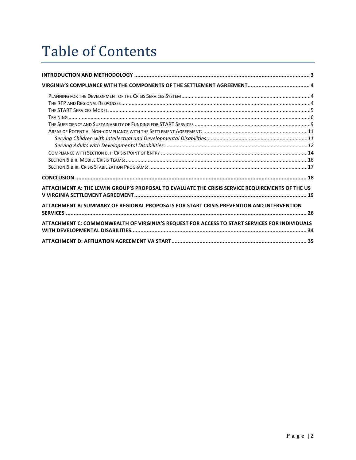# Table of Contents

| ATTACHMENT A: THE LEWIN GROUP'S PROPOSAL TO EVALUATE THE CRISIS SERVICE REQUIREMENTS OF THE US |  |
|------------------------------------------------------------------------------------------------|--|
| ATTACHMENT B: SUMMARY OF REGIONAL PROPOSALS FOR START CRISIS PREVENTION AND INTERVENTION       |  |
| ATTACHMENT C: COMMONWEALTH OF VIRGINIA'S REQUEST FOR ACCESS TO START SERVICES FOR INDIVIDUALS  |  |
|                                                                                                |  |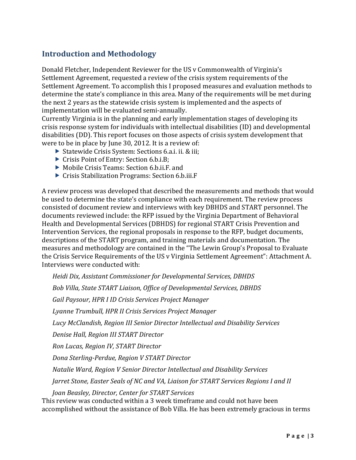### **Introduction and Methodology**

Donald Fletcher, Independent Reviewer for the US v Commonwealth of Virginia's Settlement Agreement, requested a review of the crisis system requirements of the Settlement Agreement. To accomplish this I proposed measures and evaluation methods to determine the state's compliance in this area. Many of the requirements will be met during the next 2 years as the statewide crisis system is implemented and the aspects of implementation will be evaluated semi-annually.

Currently Virginia is in the planning and early implementation stages of developing its crisis response system for individuals with intellectual disabilities (ID) and developmental disabilities (DD). This report focuses on those aspects of crisis system development that were to be in place by June 30, 2012. It is a review of:

- ▶ Statewide Crisis System: Sections 6.a.i. ii. & iii;
- ▶ Crisis Point of Entry: Section 6.b.i.B;
- ▶ Mobile Crisis Teams: Section 6.b.ii.F. and
- $\triangleright$  Crisis Stabilization Programs: Section 6.b.iii.F

A review process was developed that described the measurements and methods that would be used to determine the state's compliance with each requirement. The review process consisted of document review and interviews with key DBHDS and START personnel. The documents reviewed include: the RFP issued by the Virginia Department of Behavioral Health and Developmental Services (DBHDS) for regional START Crisis Prevention and Intervention Services, the regional proposals in response to the RFP, budget documents, descriptions of the START program, and training materials and documentation. The measures and methodology are contained in the "The Lewin Group's Proposal to Evaluate the Crisis Service Requirements of the US v Virginia Settlement Agreement": Attachment A. Interviews were conducted with:

*Heidi%Dix,%Assistant%Commissioner%for%Developmental%Services,%DBHDS*

*Bob%Villa,%State%START%Liaison,%Office%of%Developmental%Services,%DBHDS*

*Gail%Paysour,%HPR%I%ID%Crisis%Services%Project%Manager*

*Lyanne%Trumbull,%HPR%II%Crisis%Services%Project%Manager*

*Lucy%McClandish,%Region%III%Senior%Director%Intellectual%and%Disability%Services*

*Denise%Hall,%Region%III%START%Director*

*Ron%Lucas,%Region%IV,%START%Director*

**Dona Sterling-Perdue, Region V START Director** 

*Natalie%Ward,%Region%V%Senior%Director%Intellectual%and%Disability%Services%*

*Jarret Stone, Easter Seals of NC and VA, Liaison for START Services Regions I and II* 

*Joan%Beasley,%Director,%Center%for%START%Services* This review was conducted within a 3 week timeframe and could not have been accomplished without the assistance of Bob Villa. He has been extremely gracious in terms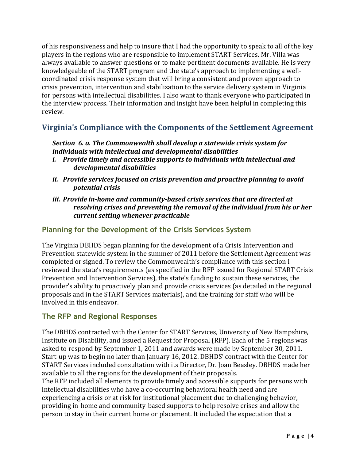of his responsiveness and help to insure that I had the opportunity to speak to all of the key players in the regions who are responsible to implement START Services. Mr. Villa was always available to answer questions or to make pertinent documents available. He is very knowledgeable of the START program and the state's approach to implementing a wellcoordinated crisis response system that will bring a consistent and proven approach to crisis prevention, intervention and stabilization to the service delivery system in Virginia for persons with intellectual disabilities. I also want to thank everyone who participated in the interview process. Their information and insight have been helpful in completing this review.

#### **Virginia's Compliance with the Components of the Settlement Agreement**

#### *Section* 6. a. The Commonwealth shall develop a statewide crisis system for individuals with intellectual and developmental disabilities

- *i.* Provide timely and accessible supports to individuals with intellectual and *developmental(disabilities*
- *ii. Provide services focused on crisis prevention and proactive planning to avoid potential crisis*
- *iii. Provide in-home and community-based crisis services that are directed at* resolving crises and preventing the removal of the individual from his or her *current setting whenever practicable*

#### **Planning for the Development of the Crisis Services System**

The Virginia DBHDS began planning for the development of a Crisis Intervention and Prevention statewide system in the summer of 2011 before the Settlement Agreement was completed or signed. To review the Commonwealth's compliance with this section I reviewed the state's requirements (as specified in the RFP issued for Regional START Crisis Prevention and Intervention Services), the state's funding to sustain these services, the provider's ability to proactively plan and provide crisis services (as detailed in the regional proposals and in the START Services materials), and the training for staff who will be involved in this endeavor.

#### **The RFP and Regional Responses**

The DBHDS contracted with the Center for START Services, University of New Hampshire, Institute on Disability, and issued a Request for Proposal (RFP). Each of the 5 regions was asked to respond by September 1, 2011 and awards were made by September 30, 2011. Start-up was to begin no later than January 16, 2012. DBHDS' contract with the Center for START Services included consultation with its Director, Dr. Joan Beasley. DBHDS made her available to all the regions for the development of their proposals.

The RFP included all elements to provide timely and accessible supports for persons with intellectual disabilities who have a co-occurring behavioral health need and are experiencing a crisis or at risk for institutional placement due to challenging behavior, providing in-home and community-based supports to help resolve crises and allow the person to stay in their current home or placement. It included the expectation that a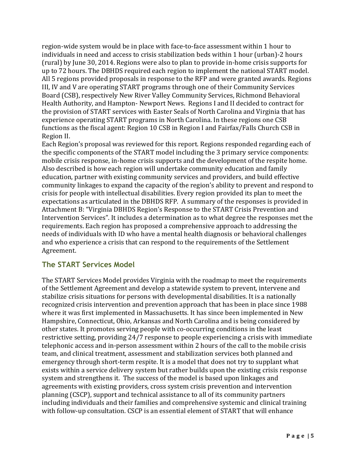region-wide system would be in place with face-to-face assessment within 1 hour to individuals in need and access to crisis stabilization beds within 1 hour (urban)-2 hours (rural) by June 30, 2014. Regions were also to plan to provide in-home crisis supports for up to 72 hours. The DBHDS required each region to implement the national START model. All 5 regions provided proposals in response to the RFP and were granted awards. Regions III, IV and V are operating START programs through one of their Community Services Board (CSB), respectively New River Valley Community Services, Richmond Behavioral Health Authority, and Hampton- Newport News. Regions I and II decided to contract for the provision of START services with Easter Seals of North Carolina and Virginia that has experience operating START programs in North Carolina. In these regions one CSB functions as the fiscal agent: Region 10 CSB in Region I and Fairfax/Falls Church CSB in Region II.

Each Region's proposal was reviewed for this report. Regions responded regarding each of the specific components of the START model including the 3 primary service components: mobile crisis response, in-home crisis supports and the development of the respite home. Also described is how each region will undertake community education and family education, partner with existing community services and providers, and build effective community linkages to expand the capacity of the region's ability to prevent and respond to crisis for people with intellectual disabilities. Every region provided its plan to meet the expectations as articulated in the DBHDS RFP. A summary of the responses is provided in Attachment B: "Virginia DBHDS Region's Response to the START Crisis Prevention and Intervention Services". It includes a determination as to what degree the responses met the requirements. Each region has proposed a comprehensive approach to addressing the needs of individuals with ID who have a mental health diagnosis or behavioral challenges and who experience a crisis that can respond to the requirements of the Settlement Agreement.

#### **The START Services Model**

The START Services Model provides Virginia with the roadmap to meet the requirements of the Settlement Agreement and develop a statewide system to prevent, intervene and stabilize crisis situations for persons with developmental disabilities. It is a nationally recognized crisis intervention and prevention approach that has been in place since 1988 where it was first implemented in Massachusetts. It has since been implemented in New Hampshire, Connecticut, Ohio, Arkansas and North Carolina and is being considered by other states. It promotes serving people with co-occurring conditions in the least restrictive setting, providing 24/7 response to people experiencing a crisis with immediate telephonic access and in-person assessment within 2 hours of the call to the mobile crisis team, and clinical treatment, assessment and stabilization services both planned and emergency through short-term respite. It is a model that does not try to supplant what exists within a service delivery system but rather builds upon the existing crisis response system and strengthens it. The success of the model is based upon linkages and agreements with existing providers, cross system crisis prevention and intervention planning (CSCP), support and technical assistance to all of its community partners including individuals and their families and comprehensive systemic and clinical training with follow-up consultation. CSCP is an essential element of START that will enhance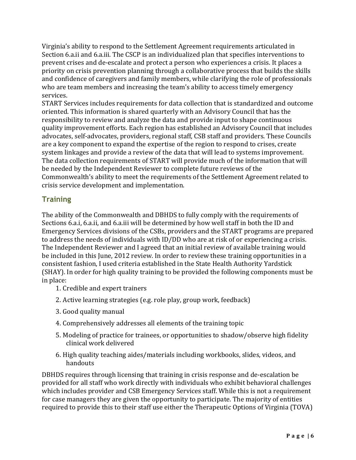Virginia's ability to respond to the Settlement Agreement requirements articulated in Section 6.a.ii and 6.a.iii. The CSCP is an individualized plan that specifies interventions to prevent crises and de-escalate and protect a person who experiences a crisis. It places a priority on crisis prevention planning through a collaborative process that builds the skills and confidence of caregivers and family members, while clarifying the role of professionals who are team members and increasing the team's ability to access timely emergency services.

START Services includes requirements for data collection that is standardized and outcome oriented. This information is shared quarterly with an Advisory Council that has the responsibility to review and analyze the data and provide input to shape continuous quality improvement efforts. Each region has established an Advisory Council that includes advocates, self-advocates, providers, regional staff, CSB staff and providers. These Councils are a key component to expand the expertise of the region to respond to crises, create system linkages and provide a review of the data that will lead to systems improvement. The data collection requirements of START will provide much of the information that will be needed by the Independent Reviewer to complete future reviews of the Commonwealth's ability to meet the requirements of the Settlement Agreement related to crisis service development and implementation.

#### **Training**

The ability of the Commonwealth and DBHDS to fully comply with the requirements of Sections 6.a.i, 6.a.ii, and 6.a.iii will be determined by how well staff in both the ID and Emergency Services divisions of the CSBs, providers and the START programs are prepared to address the needs of individuals with ID/DD who are at risk of or experiencing a crisis. The Independent Reviewer and I agreed that an initial review of available training would be included in this June, 2012 review. In order to review these training opportunities in a consistent fashion, I used criteria established in the State Health Authority Yardstick (SHAY). In order for high quality training to be provided the following components must be in place:

- 1. Credible and expert trainers
- 2. Active learning strategies (e.g. role play, group work, feedback)
- 3. Good quality manual
- 4. Comprehensively addresses all elements of the training topic
- 5. Modeling of practice for trainees, or opportunities to shadow/observe high fidelity clinical work delivered
- 6. High quality teaching aides/materials including workbooks, slides, videos, and handouts

DBHDS requires through licensing that training in crisis response and de-escalation be provided for all staff who work directly with individuals who exhibit behavioral challenges which includes provider and CSB Emergency Services staff. While this is not a requirement for case managers they are given the opportunity to participate. The majority of entities required to provide this to their staff use either the Therapeutic Options of Virginia (TOVA)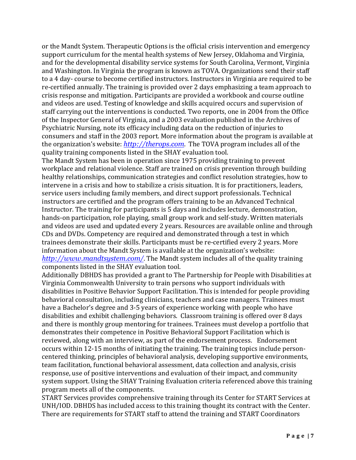or the Mandt System. Therapeutic Options is the official crisis intervention and emergency support curriculum for the mental health systems of New Jersey, Oklahoma and Virginia, and for the developmental disability service systems for South Carolina, Vermont, Virginia and Washington. In Virginia the program is known as TOVA. Organizations send their staff to a 4 day-course to become certified instructors. Instructors in Virginia are required to be re-certified annually. The training is provided over 2 days emphasizing a team approach to crisis response and mitigation. Participants are provided a workbook and course outline and videos are used. Testing of knowledge and skills acquired occurs and supervision of staff carrying out the interventions is conducted. Two reports, one in 2004 from the Office of the Inspector General of Virginia, and a 2003 evaluation published in the Archives of Psychiatric Nursing, note its efficacy including data on the reduction of injuries to consumers and staff in the 2003 report. More information about the program is available at the organization's website: *http://therops.com*. The TOVA program includes all of the quality training components listed in the SHAY evaluation tool.

The Mandt System has been in operation since 1975 providing training to prevent workplace and relational violence. Staff are trained on crisis prevention through building healthy relationships, communication strategies and conflict resolution strategies, how to intervene in a crisis and how to stabilize a crisis situation. It is for practitioners, leaders, service users including family members, and direct support professionals. Technical instructors are certified and the program offers training to be an Advanced Technical Instructor. The training for participants is 5 days and includes lecture, demonstration, hands-on participation, role playing, small group work and self-study. Written materials and videos are used and updated every 2 years. Resources are available online and through CDs and DVDs. Competency are required and demonstrated through a test in which trainees demonstrate their skills. Participants must be re-certified every 2 years. More information about the Mandt System is available at the organization's website: *http://www.mandtsystem.com/*. The Mandt system includes all of the quality training components listed in the SHAY evaluation tool.

Additionally DBHDS has provided a grant to The Partnership for People with Disabilities at Virginia Commonwealth University to train persons who support individuals with disabilities in Positive Behavior Support Facilitation. This is intended for people providing behavioral consultation, including clinicians, teachers and case managers. Trainees must have a Bachelor's degree and 3-5 years of experience working with people who have disabilities and exhibit challenging behaviors. Classroom training is offered over 8 days and there is monthly group mentoring for trainees. Trainees must develop a portfolio that demonstrates their competence in Positive Behavioral Support Facilitation which is reviewed, along with an interview, as part of the endorsement process. Endorsement occurs within 12-15 months of initiating the training. The training topics include personcentered thinking, principles of behavioral analysis, developing supportive environments, team facilitation, functional behavioral assessment, data collection and analysis, crisis response, use of positive interventions and evaluation of their impact, and community system support. Using the SHAY Training Evaluation criteria referenced above this training program meets all of the components.

START Services provides comprehensive training through its Center for START Services at UNH/IOD. DBHDS has included access to this training thought its contract with the Center. There are requirements for START staff to attend the training and START Coordinators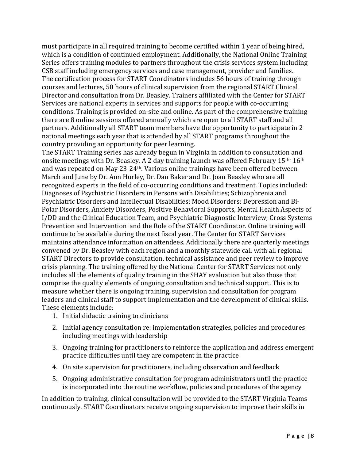must participate in all required training to become certified within 1 year of being hired, which is a condition of continued employment. Additionally, the National Online Training Series offers training modules to partners throughout the crisis services system including CSB staff including emergency services and case management, provider and families. The certification process for START Coordinators includes 56 hours of training through courses and lectures, 50 hours of clinical supervision from the regional START Clinical Director and consultation from Dr. Beasley. Trainers affiliated with the Center for START Services are national experts in services and supports for people with co-occurring conditions. Training is provided on-site and online. As part of the comprehensive training there are 8 online sessions offered annually which are open to all START staff and all partners. Additionally all START team members have the opportunity to participate in 2 national meetings each year that is attended by all START programs throughout the country providing an opportunity for peer learning.

The START Training series has already begun in Virginia in addition to consultation and onsite meetings with Dr. Beasley. A 2 day training launch was offered February  $15<sup>th</sup> 16<sup>th</sup>$ and was repeated on May 23-24<sup>th</sup>. Various online trainings have been offered between March and June by Dr. Ann Hurley, Dr. Dan Baker and Dr. Joan Beasley who are all recognized experts in the field of co-occurring conditions and treatment. Topics included: Diagnoses of Psychiatric Disorders in Persons with Disabilities; Schizophrenia and Psychiatric Disorders and Intellectual Disabilities; Mood Disorders: Depression and Bi-Polar Disorders, Anxiety Disorders, Positive Behavioral Supports, Mental Health Aspects of I/DD and the Clinical Education Team, and Psychiatric Diagnostic Interview; Cross Systems Prevention and Intervention and the Role of the START Coordinator. Online training will continue to be available during the next fiscal year. The Center for START Services maintains attendance information on attendees. Additionally there are quarterly meetings convened by Dr. Beasley with each region and a monthly statewide call with all regional START Directors to provide consultation, technical assistance and peer review to improve crisis planning. The training offered by the National Center for START Services not only includes all the elements of quality training in the SHAY evaluation but also those that comprise the quality elements of ongoing consultation and technical support. This is to measure whether there is ongoing training, supervision and consultation for program leaders and clinical staff to support implementation and the development of clinical skills. These elements include:

- 1. Initial didactic training to clinicians
- 2. Initial agency consultation re: implementation strategies, policies and procedures including meetings with leadership
- 3. Ongoing training for practitioners to reinforce the application and address emergent practice difficulties until they are competent in the practice
- 4. On site supervision for practitioners, including observation and feedback
- 5. Ongoing administrative consultation for program administrators until the practice is incorporated into the routine workflow, policies and procedures of the agency

In addition to training, clinical consultation will be provided to the START Virginia Teams continuously. START Coordinators receive ongoing supervision to improve their skills in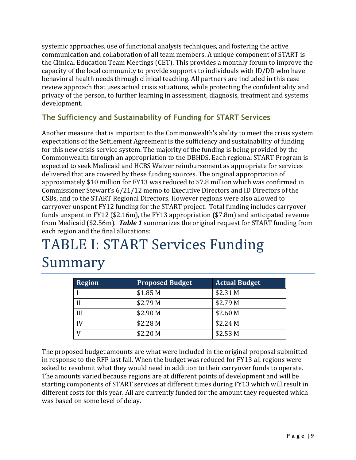systemic approaches, use of functional analysis techniques, and fostering the active communication and collaboration of all team members. A unique component of START is the Clinical Education Team Meetings (CET). This provides a monthly forum to improve the capacity of the local community to provide supports to individuals with ID/DD who have behavioral health needs through clinical teaching. All partners are included in this case review approach that uses actual crisis situations, while protecting the confidentiality and privacy of the person, to further learning in assessment, diagnosis, treatment and systems development.

### **The Sufficiency and Sustainability of Funding for START Services**

Another measure that is important to the Commonwealth's ability to meet the crisis system expectations of the Settlement Agreement is the sufficiency and sustainability of funding for this new crisis service system. The majority of the funding is being provided by the Commonwealth through an appropriation to the DBHDS. Each regional START Program is expected to seek Medicaid and HCBS Waiver reimbursement as appropriate for services delivered that are covered by these funding sources. The original appropriation of approximately \$10 million for FY13 was reduced to \$7.8 million which was confirmed in Commissioner Stewart's 6/21/12 memo to Executive Directors and ID Directors of the CSBs, and to the START Regional Directors. However regions were also allowed to carryover unspent FY12 funding for the START project. Total funding includes carryover funds unspent in FY12 (\$2.16m), the FY13 appropriation (\$7.8m) and anticipated revenue from Medicaid (\$2.56m). *Table 1* summarizes the original request for START funding from each region and the final allocations:

# TABLE I: START Services Funding Summary

| <b>Region</b> | <b>Proposed Budget</b> | <b>Actual Budget</b> |
|---------------|------------------------|----------------------|
|               | \$1.85 M               | \$2.31 M             |
|               | \$2.79 M               | \$2.79 M             |
| Ш             | \$2.90 M               | \$2.60 M             |
|               | \$2.28 M               | \$2.24 M             |
| ŢΤ            | \$2.20 M               | \$2.53 M             |

The proposed budget amounts are what were included in the original proposal submitted in response to the RFP last fall. When the budget was reduced for FY13 all regions were asked to resubmit what they would need in addition to their carryover funds to operate. The amounts varied because regions are at different points of development and will be starting components of START services at different times during FY13 which will result in different costs for this year. All are currently funded for the amount they requested which was based on some level of delay.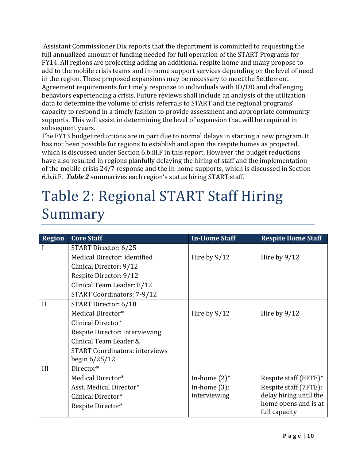Assistant Commissioner Dix reports that the department is committed to requesting the full annualized amount of funding needed for full operation of the START Programs for FY14. All regions are projecting adding an additional respite home and many propose to add to the mobile crisis teams and in-home support services depending on the level of need in the region. These proposed expansions may be necessary to meet the Settlement Agreement requirements for timely response to individuals with ID/DD and challenging behaviors experiencing a crisis. Future reviews shall include an analysis of the utilization data to determine the volume of crisis referrals to START and the regional programs' capacity to respond in a timely fashion to provide assessment and appropriate community supports. This will assist in determining the level of expansion that will be required in subsequent years.

The FY13 budget reductions are in part due to normal delays in starting a new program. It has not been possible for regions to establish and open the respite homes as projected, which is discussed under Section 6.b.iii.F in this report. However the budget reductions have also resulted in regions planfully delaying the hiring of staff and the implementation of the mobile crisis 24/7 response and the in-home supports, which is discussed in Section 6.b.ii.F. Table 2 summarizes each region's status hiring START staff.

## Table 2: Regional START Staff Hiring Summary

| <b>Region</b> | <b>Core Staff</b>                     | <b>In-Home Staff</b> | <b>Respite Home Staff</b> |
|---------------|---------------------------------------|----------------------|---------------------------|
|               | START Director: 6/25                  |                      |                           |
|               | Medical Director: identified          | Hire by $9/12$       | Hire by $9/12$            |
|               | Clinical Director: 9/12               |                      |                           |
|               | Respite Director: 9/12                |                      |                           |
|               | Clinical Team Leader: 8/12            |                      |                           |
|               | <b>START Coordinators: 7-9/12</b>     |                      |                           |
| II            | START Director: 6/18                  |                      |                           |
|               | Medical Director*                     | Hire by $9/12$       | Hire by $9/12$            |
|               | Clinical Director*                    |                      |                           |
|               | Respite Director: interviewing        |                      |                           |
|               | Clinical Team Leader &                |                      |                           |
|               | <b>START Coordinators: interviews</b> |                      |                           |
|               | begin $6/25/12$                       |                      |                           |
| III           | Director*                             |                      |                           |
|               | Medical Director*                     | In-home $(2)^*$      | Respite staff (8FTE)*     |
|               | Asst. Medical Director*               | In-home $(3)$ :      | Respite staff (7FTE):     |
|               | Clinical Director*                    | interviewing         | delay hiring until the    |
|               | Respite Director*                     |                      | home opens and is at      |
|               |                                       |                      | full capacity             |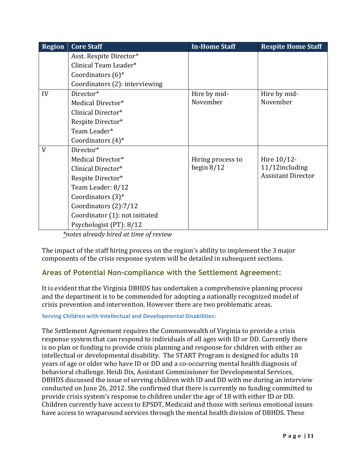| <b>Region</b> | <b>Core Staff</b>              | <b>In-Home Staff</b> | <b>Respite Home Staff</b> |
|---------------|--------------------------------|----------------------|---------------------------|
|               | Asst. Respite Director*        |                      |                           |
|               | Clinical Team Leader*          |                      |                           |
|               | Coordinators $(6)^*$           |                      |                           |
|               | Coordinators (2): interviewing |                      |                           |
| IV            | Director*                      | Hire by mid-         | Hire by mid-              |
|               | Medical Director*              | November             | November                  |
|               | Clinical Director*             |                      |                           |
|               | Respite Director*              |                      |                           |
|               | Team Leader*                   |                      |                           |
|               | Coordinators $(4)^*$           |                      |                           |
| V             | Director*                      |                      |                           |
|               | Medical Director*              | Hiring process to    | Hire 10/12-               |
|               | Clinical Director*             | begin $8/12$         | 11/12including            |
|               | Respite Director*              |                      | <b>Assistant Director</b> |
|               | Team Leader: 8/12              |                      |                           |
|               | Coordinators $(3)^*$           |                      |                           |
|               | Coordinators (2):7/12          |                      |                           |
|               | Coordinator (1): not initiated |                      |                           |
|               | Psychologist (PT): 8/12        |                      |                           |

*\*notes%already%hired%at%time%of%review*

The impact of the staff hiring process on the region's ability to implement the 3 major components of the crisis response system will be detailed in subsequent sections.

## **Areas of Potential Non-compliance with the Settlement Agreement:**

It is evident that the Virginia DBHDS has undertaken a comprehensive planning process and the department is to be commended for adopting a nationally recognized model of crisis prevention and intervention. However there are two problematic areas.

#### **Serving Children with Intellectual and Developmental Disabilities:**

The Settlement Agreement requires the Commonwealth of Virginia to provide a crisis response system that can respond to individuals of all ages with ID or DD. Currently there is no plan or funding to provide crisis planning and response for children with either an intellectual or developmental disability. The START Program is designed for adults 18 years of age or older who have ID or DD and a co-occurring mental health diagnosis of behavioral challenge. Heidi Dix, Assistant Commissioner for Developmental Services, DBHDS discussed the issue of serving children with ID and DD with me during an interview conducted on June 26, 2012. She confirmed that there is currently no funding committed to provide crisis system's response to children under the age of 18 with either ID or DD. Children currently have access to EPSDT, Medicaid and those with serious emotional issues have access to wraparound services through the mental health division of DBHDS. These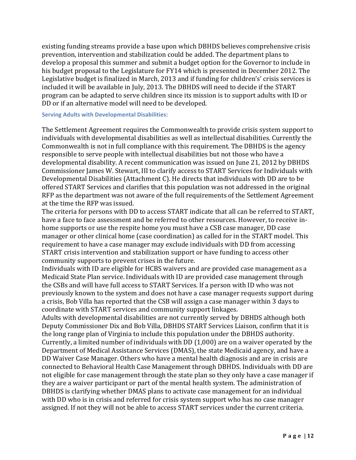existing funding streams provide a base upon which DBHDS believes comprehensive crisis prevention, intervention and stabilization could be added. The department plans to develop a proposal this summer and submit a budget option for the Governor to include in his budget proposal to the Legislature for FY14 which is presented in December 2012. The Legislative budget is finalized in March, 2013 and if funding for children's' crisis services is included it will be available in July, 2013. The DBHDS will need to decide if the START program can be adapted to serve children since its mission is to support adults with ID or DD or if an alternative model will need to be developed.

#### **Serving Adults with Developmental Disabilities:**

The Settlement Agreement requires the Commonwealth to provide crisis system support to individuals with developmental disabilities as well as intellectual disabilities. Currently the Commonwealth is not in full compliance with this requirement. The DBHDS is the agency responsible to serve people with intellectual disabilities but not those who have a developmental disability. A recent communication was issued on June 21, 2012 by DBHDS Commissioner James W. Stewart, III to clarify access to START Services for Individuals with Developmental Disabilities (Attachment C). He directs that individuals with DD are to be offered START Services and clarifies that this population was not addressed in the original RFP as the department was not aware of the full requirements of the Settlement Agreement at the time the RFP was issued.

The criteria for persons with DD to access START indicate that all can be referred to START, have a face to face assessment and be referred to other resources. However, to receive inhome supports or use the respite home you must have a CSB case manager, DD case manager or other clinical home (case coordination) as called for in the START model. This requirement to have a case manager may exclude individuals with DD from accessing START crisis intervention and stabilization support or have funding to access other community supports to prevent crises in the future.

Individuals with ID are eligible for HCBS waivers and are provided case management as a Medicaid State Plan service. Individuals with ID are provided case management through the CSBs and will have full access to START Services. If a person with ID who was not previously known to the system and does not have a case manager requests support during a crisis, Bob Villa has reported that the CSB will assign a case manager within 3 days to coordinate with START services and community support linkages.

Adults with developmental disabilities are not currently served by DBHDS although both Deputy Commissioner Dix and Bob Villa, DBHDS START Services Liaison, confirm that it is the long range plan of Virginia to include this population under the DBHDS authority. Currently, a limited number of individuals with DD  $(1,000)$  are on a waiver operated by the Department of Medical Assistance Services (DMAS), the state Medicaid agency, and have a DD Waiver Case Manager. Others who have a mental health diagnosis and are in crisis are connected to Behavioral Health Case Management through DBHDS. Individuals with DD are not eligible for case management through the state plan so they only have a case manager if they are a waiver participant or part of the mental health system. The administration of DBHDS is clarifying whether DMAS plans to activate case management for an individual with DD who is in crisis and referred for crisis system support who has no case manager assigned. If not they will not be able to access START services under the current criteria.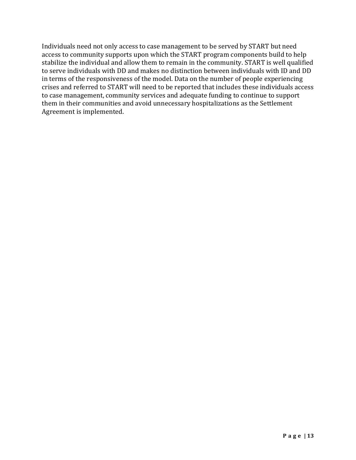Individuals need not only access to case management to be served by START but need access to community supports upon which the START program components build to help stabilize the individual and allow them to remain in the community. START is well qualified to serve individuals with DD and makes no distinction between individuals with ID and DD in terms of the responsiveness of the model. Data on the number of people experiencing crises and referred to START will need to be reported that includes these individuals access to case management, community services and adequate funding to continue to support them in their communities and avoid unnecessary hospitalizations as the Settlement Agreement is implemented.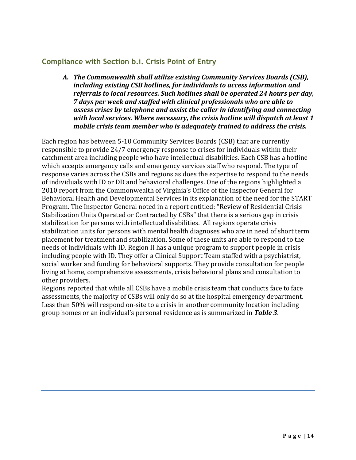#### **Compliance with Section b.i. Crisis Point of Entry**

A. The Commonwealth shall utilize existing Community Services Boards (CSB), *including existing CSB hotlines, for individuals to access information and* referrals to local resources. Such hotlines shall be operated 24 hours per day, *7* days per week and staffed with clinical professionals who are able to *assess crises by telephone and assist the caller in identifying and connecting* with local services. Where necessary, the crisis hotline will dispatch at least 1 *mobile crisis team member who is adequately trained to address the crisis.* 

Each region has between 5-10 Community Services Boards (CSB) that are currently responsible to provide 24/7 emergency response to crises for individuals within their catchment area including people who have intellectual disabilities. Each CSB has a hotline which accepts emergency calls and emergency services staff who respond. The type of response varies across the CSBs and regions as does the expertise to respond to the needs of individuals with ID or DD and behavioral challenges. One of the regions highlighted a 2010 report from the Commonwealth of Virginia's Office of the Inspector General for Behavioral Health and Developmental Services in its explanation of the need for the START Program. The Inspector General noted in a report entitled: "Review of Residential Crisis Stabilization Units Operated or Contracted by CSBs" that there is a serious gap in crisis stabilization for persons with intellectual disabilities. All regions operate crisis stabilization units for persons with mental health diagnoses who are in need of short term placement for treatment and stabilization. Some of these units are able to respond to the needs of individuals with ID. Region II has a unique program to support people in crisis including people with ID. They offer a Clinical Support Team staffed with a psychiatrist, social worker and funding for behavioral supports. They provide consultation for people living at home, comprehensive assessments, crisis behavioral plans and consultation to other providers.

Regions reported that while all CSBs have a mobile crisis team that conducts face to face assessments, the majority of CSBs will only do so at the hospital emergency department. Less than 50% will respond on-site to a crisis in another community location including group homes or an individual's personal residence as is summarized in **Table 3**.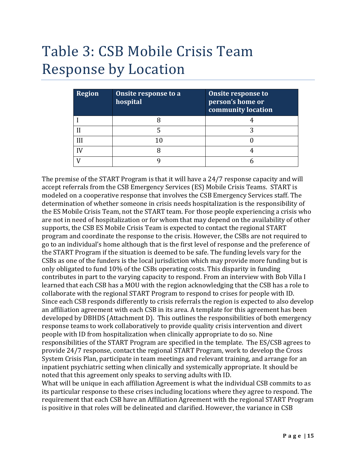## Table 3: CSB Mobile Crisis Team Response by Location

| <b>Region</b> | Onsite response to a<br>hospital | <b>Onsite response to</b><br>person's home or<br>community location |
|---------------|----------------------------------|---------------------------------------------------------------------|
|               |                                  |                                                                     |
|               |                                  |                                                                     |
|               | 10                               |                                                                     |
|               |                                  |                                                                     |
|               |                                  |                                                                     |

The premise of the START Program is that it will have a 24/7 response capacity and will accept referrals from the CSB Emergency Services (ES) Mobile Crisis Teams. START is modeled on a cooperative response that involves the CSB Emergency Services staff. The determination of whether someone in crisis needs hospitalization is the responsibility of the ES Mobile Crisis Team, not the START team. For those people experiencing a crisis who are not in need of hospitalization or for whom that may depend on the availability of other supports, the CSB ES Mobile Crisis Team is expected to contact the regional START program and coordinate the response to the crisis. However, the CSBs are not required to go to an individual's home although that is the first level of response and the preference of the START Program if the situation is deemed to be safe. The funding levels vary for the CSBs as one of the funders is the local jurisdiction which may provide more funding but is only obligated to fund 10% of the CSBs operating costs. This disparity in funding contributes in part to the varying capacity to respond. From an interview with Bob Villa I learned that each CSB has a MOU with the region acknowledging that the CSB has a role to collaborate with the regional START Program to respond to crises for people with ID. Since each CSB responds differently to crisis referrals the region is expected to also develop an affiliation agreement with each CSB in its area. A template for this agreement has been developed by DBHDS (Attachment D). This outlines the responsibilities of both emergency response teams to work collaboratively to provide quality crisis intervention and divert people with ID from hospitalization when clinically appropriate to do so. Nine responsibilities of the START Program are specified in the template. The ES/CSB agrees to provide 24/7 response, contact the regional START Program, work to develop the Cross System Crisis Plan, participate in team meetings and relevant training, and arrange for an inpatient psychiatric setting when clinically and systemically appropriate. It should be noted that this agreement only speaks to serving adults with ID.

What will be unique in each affiliation Agreement is what the individual CSB commits to as its particular response to these crises including locations where they agree to respond. The requirement that each CSB have an Affiliation Agreement with the regional START Program is positive in that roles will be delineated and clarified. However, the variance in CSB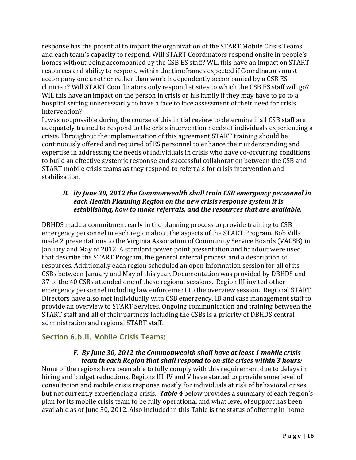response has the potential to impact the organization of the START Mobile Crisis Teams and each team's capacity to respond. Will START Coordinators respond onsite in people's homes without being accompanied by the CSB ES staff? Will this have an impact on START resources and ability to respond within the timeframes expected if Coordinators must accompany one another rather than work independently accompanied by a CSB ES clinician? Will START Coordinators only respond at sites to which the CSB ES staff will go? Will this have an impact on the person in crisis or his family if they may have to go to a hospital setting unnecessarily to have a face to face assessment of their need for crisis intervention?

It was not possible during the course of this initial review to determine if all CSB staff are adequately trained to respond to the crisis intervention needs of individuals experiencing a crisis. Throughout the implementation of this agreement START training should be continuously offered and required of ES personnel to enhance their understanding and expertise in addressing the needs of individuals in crisis who have co-occurring conditions to build an effective systemic response and successful collaboration between the CSB and START mobile crisis teams as they respond to referrals for crisis intervention and stabilization.

#### *B. By June 30, 2012 the Commonwealth shall train CSB emergency personnel in each Health Planning Region on the new crisis response system it is establishing, how to make referrals, and the resources that are available.*

DBHDS made a commitment early in the planning process to provide training to CSB emergency personnel in each region about the aspects of the START Program. Bob Villa made 2 presentations to the Virginia Association of Community Service Boards (VACSB) in January and May of 2012. A standard power point presentation and handout were used that describe the START Program, the general referral process and a description of resources. Additionally each region scheduled an open information session for all of its CSBs between January and May of this year. Documentation was provided by DBHDS and 37 of the 40 CSBs attended one of these regional sessions. Region III invited other emergency personnel including law enforcement to the overview session. Regional START Directors have also met individually with CSB emergency, ID and case management staff to provide an overview to START Services. Ongoing communication and training between the START staff and all of their partners including the CSBs is a priority of DBHDS central administration and regional START staff.

#### **Section 6.b.ii. Mobile Crisis Teams:**

#### *F.* By June 30, 2012 the Commonwealth shall have at least 1 mobile crisis *team in each Region that shall respond to on-site crises within 3 hours:*

None of the regions have been able to fully comply with this requirement due to delays in hiring and budget reductions. Regions III, IV and V have started to provide some level of consultation and mobile crisis response mostly for individuals at risk of behavioral crises but not currently experiencing a crisis. *Table 4* below provides a summary of each region's plan for its mobile crisis team to be fully operational and what level of support has been available as of June 30, 2012. Also included in this Table is the status of offering in-home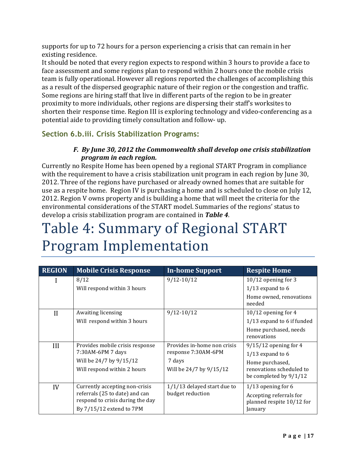supports for up to 72 hours for a person experiencing a crisis that can remain in her existing residence.

It should be noted that every region expects to respond within 3 hours to provide a face to face assessment and some regions plan to respond within 2 hours once the mobile crisis team is fully operational. However all regions reported the challenges of accomplishing this as a result of the dispersed geographic nature of their region or the congestion and traffic. Some regions are hiring staff that live in different parts of the region to be in greater proximity to more individuals, other regions are dispersing their staff's worksites to shorten their response time. Region III is exploring technology and video-conferencing as a potential aide to providing timely consultation and follow- up.

#### **Section 6.b.iii. Crisis Stabilization Programs:**

#### *F.* By June 30, 2012 the Commonwealth shall develop one crisis stabilization *program in each region.*

Currently no Respite Home has been opened by a regional START Program in compliance with the requirement to have a crisis stabilization unit program in each region by June 30, 2012. Three of the regions have purchased or already owned homes that are suitable for use as a respite home. Region IV is purchasing a home and is scheduled to close on July 12, 2012. Region V owns property and is building a home that will meet the criteria for the environmental considerations of the START model. Summaries of the regions' status to develop a crisis stabilization program are contained in **Table 4**.

## Table 4: Summary of Regional START Program Implementation

| <b>REGION</b> | <b>Mobile Crisis Response</b>    | <b>In-home Support</b>        | <b>Respite Home</b>                  |
|---------------|----------------------------------|-------------------------------|--------------------------------------|
|               | 8/12                             | $9/12 - 10/12$                | $10/12$ opening for 3                |
|               | Will respond within 3 hours      |                               | $1/13$ expand to 6                   |
|               |                                  |                               | Home owned, renovations<br>needed    |
| $\mathbf{H}$  | Awaiting licensing               | $9/12 - 10/12$                | $10/12$ opening for 4                |
|               | Will respond within 3 hours      |                               | 1/13 expand to 6 if funded           |
|               |                                  |                               | Home purchased, needs<br>renovations |
| III           | Provides mobile crisis response  | Provides in-home non crisis   | $9/15/12$ opening for 4              |
|               | 7:30AM-6PM 7 days                | response 7:30AM-6PM           | $1/13$ expand to 6                   |
|               | Will be 24/7 by 9/15/12          | 7 days                        | Home purchased,                      |
|               | Will respond within 2 hours      | Will be 24/7 by 9/15/12       | renovations scheduled to             |
|               |                                  |                               | be completed by $9/1/12$             |
| IV            | Currently accepting non-crisis   | $1/1/13$ delayed start due to | $1/13$ opening for 6                 |
|               | referrals (25 to date) and can   | budget reduction              | Accepting referrals for              |
|               | respond to crisis during the day |                               | planned respite 10/12 for            |
|               | By 7/15/12 extend to 7PM         |                               | January                              |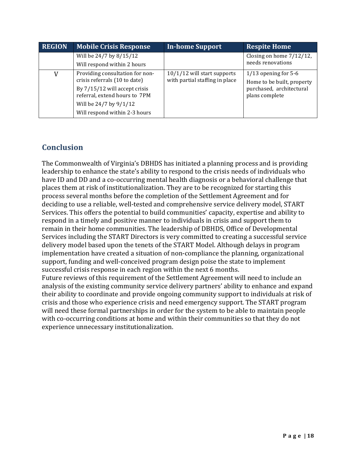| <b>REGION</b> | <b>Mobile Crisis Response</b>   | <b>In-home Support</b>         | <b>Respite Home</b>         |
|---------------|---------------------------------|--------------------------------|-----------------------------|
|               | Will be 24/7 by 8/15/12         |                                | Closing on home $7/12/12$ , |
|               | Will respond within 2 hours     |                                | needs renovations           |
| V             | Providing consultation for non- | $10/1/12$ will start supports  | $1/13$ opening for 5-6      |
|               | crisis referrals (10 to date)   | with partial staffing in place | Home to be built, property  |
|               | By 7/15/12 will accept crisis   |                                | purchased, architectural    |
|               | referral, extend hours to 7PM   |                                | plans complete              |
|               | Will be 24/7 by 9/1/12          |                                |                             |
|               | Will respond within 2-3 hours   |                                |                             |

### **Conclusion**

The Commonwealth of Virginia's DBHDS has initiated a planning process and is providing leadership to enhance the state's ability to respond to the crisis needs of individuals who have ID and DD and a co-occurring mental health diagnosis or a behavioral challenge that places them at risk of institutionalization. They are to be recognized for starting this process several months before the completion of the Settlement Agreement and for deciding to use a reliable, well-tested and comprehensive service delivery model, START Services. This offers the potential to build communities' capacity, expertise and ability to respond in a timely and positive manner to individuals in crisis and support them to remain in their home communities. The leadership of DBHDS, Office of Developmental Services including the START Directors is very committed to creating a successful service delivery model based upon the tenets of the START Model. Although delays in program implementation have created a situation of non-compliance the planning, organizational support, funding and well-conceived program design poise the state to implement successful crisis response in each region within the next 6 months.

Future reviews of this requirement of the Settlement Agreement will need to include an analysis of the existing community service delivery partners' ability to enhance and expand their ability to coordinate and provide ongoing community support to individuals at risk of crisis and those who experience crisis and need emergency support. The START program will need these formal partnerships in order for the system to be able to maintain people with co-occurring conditions at home and within their communities so that they do not experience unnecessary institutionalization.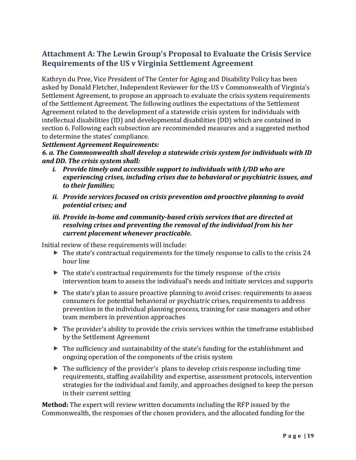### Attachment A: The Lewin Group's Proposal to Evaluate the Crisis Service Requirements of the US v Virginia Settlement Agreement

Kathryn du Pree, Vice President of The Center for Aging and Disability Policy has been asked by Donald Fletcher, Independent Reviewer for the US v Commonwealth of Virginia's Settlement Agreement, to propose an approach to evaluate the crisis system requirements of the Settlement Agreement. The following outlines the expectations of the Settlement Agreement related to the development of a statewide crisis system for individuals with intellectual disabilities (ID) and developmental disabilities (DD) which are contained in section 6. Following each subsection are recommended measures and a suggested method to determine the states' compliance.

#### **Settlement Agreement Requirements:**

6. a. The Commonwealth shall develop a statewide crisis system for individuals with ID *and DD. The crisis system shall:* 

- *i.* Provide timely and accessible support to individuals with I/DD who are *experiencing crises, including crises due to behavioral or psychiatric issues, and* to their families;
- *ii.* Provide services focused on crisis prevention and proactive planning to avoid *potential crises; and*
- *iii. Provide in-home and community-based crisis services that are directed at* resolving crises and preventing the removal of the individual from his her  $current$  $placement$ *whenever* practicable.

Initial review of these requirements will include:

- $\triangleright$  The state's contractual requirements for the timely response to calls to the crisis 24 hour line
- $\blacktriangleright$  The state's contractual requirements for the timely response of the crisis intervention team to assess the individual's needs and initiate services and supports
- $\triangleright$  The state's plan to assure proactive planning to avoid crises: requirements to assess  $\triangleright$ consumers for potential behavioral or psychiatric crises, requirements to address prevention in the individual planning process, training for case managers and other team members in prevention approaches
- $\triangleright$  The provider's ability to provide the crisis services within the timeframe established by the Settlement Agreement
- $\triangleright$  The sufficiency and sustainability of the state's funding for the establishment and ongoing operation of the components of the crisis system
- $\triangleright$  The sufficiency of the provider's plans to develop crisis response including time requirements, staffing availability and expertise, assessment protocols, intervention strategies for the individual and family, and approaches designed to keep the person in their current setting

**Method:** The expert will review written documents including the RFP issued by the Commonwealth, the responses of the chosen providers, and the allocated funding for the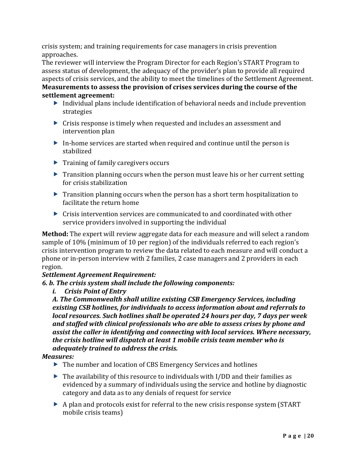crisis system; and training requirements for case managers in crisis prevention approaches.

The reviewer will interview the Program Director for each Region's START Program to assess status of development, the adequacy of the provider's plan to provide all required aspects of crisis services, and the ability to meet the timelines of the Settlement Agreement. **Measurements to assess the provision of crises services during the course of the** settlement agreement:

- $\triangleright$  Individual plans include identification of behavioral needs and include prevention strategies
- $\triangleright$  Crisis response is timely when requested and includes an assessment and intervention plan
- $\triangleright$  In-home services are started when required and continue until the person is stabilized
- $\blacktriangleright$  Training of family caregivers occurs
- $\triangleright$  Transition planning occurs when the person must leave his or her current setting for crisis stabilization
- $\triangleright$  Transition planning occurs when the person has a short term hospitalization to facilitate the return home
- $\triangleright$  Crisis intervention services are communicated to and coordinated with other service providers involved in supporting the individual

**Method:** The expert will review aggregate data for each measure and will select a random sample of 10% (minimum of 10 per region) of the individuals referred to each region's crisis intervention program to review the data related to each measure and will conduct a phone or in-person interview with 2 families, 2 case managers and 2 providers in each region.

#### **Settlement Agreement Requirement:**

#### **6.** b. The crisis system shall include the following components:

*i. Crisis Point of Entry* 

A. The Commonwealth shall utilize existing CSB Emergency Services, including  $e$ xisting CSB hotlines, for individuals to access information about and referrals to *local resources. Such hotlines shall be operated 24 hours per day, 7 days per week* and staffed with clinical professionals who are able to assess crises by phone and *assist the caller in identifying and connecting with local services. Where necessary,* the crisis hotline will dispatch at least 1 mobile crisis team member who is *adequately trained to address the crisis.* 

#### *Measures:*

- $\triangleright$  The number and location of CBS Emergency Services and hotlines
- $\triangleright$  The availability of this resource to individuals with I/DD and their families as evidenced by a summary of individuals using the service and hotline by diagnostic category and data as to any denials of request for service
- $\triangleright$  A plan and protocols exist for referral to the new crisis response system (START) mobile crisis teams)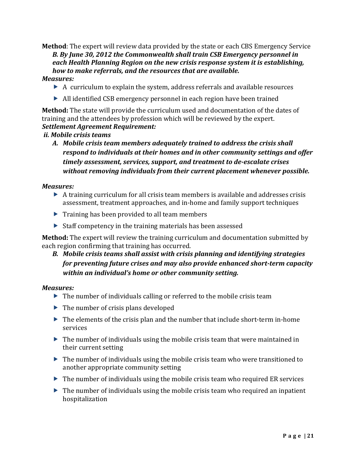**Method**: The expert will review data provided by the state or each CBS Emergency Service **B.** By June 30, 2012 the Commonwealth shall train CSB Emergency personnel in  $each$ Health Planning Region on the new crisis response system it is establishing, *how to make referrals, and the resources that are available.* 

#### *Measures:*

- $\triangleright$  A curriculum to explain the system, address referrals and available resources
- $\triangleright$  All identified CSB emergency personnel in each region have been trained

**Method:** The state will provide the curriculum used and documentation of the dates of training and the attendees by profession which will be reviewed by the expert. **Settlement Agreement Requirement:** 

#### *ii. Mobile crisis teams*

A. Mobile crisis team members adequately trained to address the crisis shall respond to individuals at their homes and in other community settings and offer *timely assessment, services, support, and treatment to de-escalate crises* without removing individuals from their current placement whenever possible.

#### *Measures:*

- $\triangleright$  A training curriculum for all crisis team members is available and addresses crisis assessment, treatment approaches, and in-home and family support techniques
- $\blacktriangleright$  Training has been provided to all team members
- $\triangleright$  Staff competency in the training materials has been assessed

**Method:** The expert will review the training curriculum and documentation submitted by each region confirming that training has occurred.

#### **B.** Mobile crisis teams shall assist with crisis planning and identifying strategies *for preventing future crises and may also provide enhanced short-term capacity within an individual's home or other community setting.*

#### *Measures:(*

- $\triangleright$  The number of individuals calling or referred to the mobile crisis team
- $\blacktriangleright$  The number of crisis plans developed
- $\triangleright$  The elements of the crisis plan and the number that include short-term in-home services
- $\triangleright$  The number of individuals using the mobile crisis team that were maintained in their current setting
- $\triangleright$  The number of individuals using the mobile crisis team who were transitioned to another appropriate community setting
- $\triangleright$  The number of individuals using the mobile crisis team who required ER services
- $\triangleright$  The number of individuals using the mobile crisis team who required an inpatient hospitalization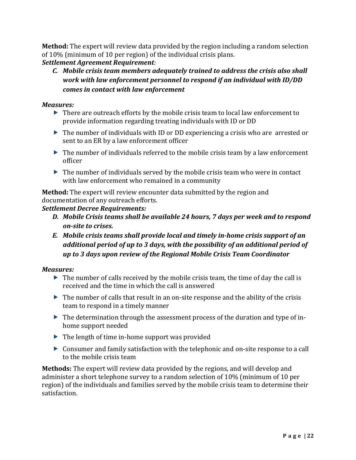**Method:** The expert will review data provided by the region including a random selection of  $10\%$  (minimum of 10 per region) of the individual crisis plans.

#### **Settlement Agreement Requirement***:*

*C.* Mobile crisis team members adequately trained to address the crisis also shall *work with law enforcement personnel to respond if an individual with ID/DD*  $comes$  in contact with law enforcement

#### *Measures:*

- $\triangleright$  There are outreach efforts by the mobile crisis team to local law enforcement to provide information regarding treating individuals with ID or DD
- $\triangleright$  The number of individuals with ID or DD experiencing a crisis who are arrested or sent to an ER by a law enforcement officer
- $\triangleright$  The number of individuals referred to the mobile crisis team by a law enforcement officer
- $\triangleright$  The number of individuals served by the mobile crisis team who were in contact with law enforcement who remained in a community

**Method:** The expert will review encounter data submitted by the region and documentation of any outreach efforts.

#### **Settlement Decree Requirements:**

- **D.** Mobile Crisis teams shall be available 24 hours, 7 days per week and to respond *on-site to crises.*
- *E.* Mobile crisis teams shall provide local and timely in-home crisis support of an additional period of up to 3 days, with the possibility of an additional period of *up(to(3(days(upon(review(of(the(Regional(Mobile(Crisis(Team(Coordinator*

#### *Measures:(*

- $\triangleright$  The number of calls received by the mobile crisis team, the time of day the call is received and the time in which the call is answered
- $\triangleright$  The number of calls that result in an on-site response and the ability of the crisis team to respond in a timely manner
- $\triangleright$  The determination through the assessment process of the duration and type of inhome support needed
- $\triangleright$  The length of time in-home support was provided
- $\triangleright$  Consumer and family satisfaction with the telephonic and on-site response to a call to the mobile crisis team

**Methods:** The expert will review data provided by the regions, and will develop and administer a short telephone survey to a random selection of 10% (minimum of 10 per region) of the individuals and families served by the mobile crisis team to determine their satisfaction.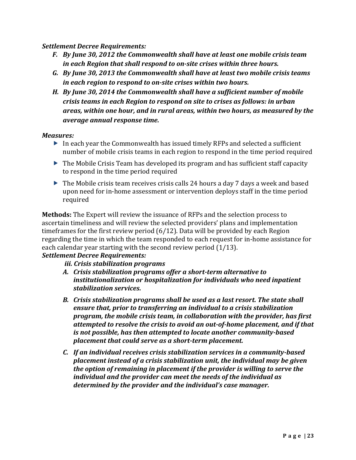**Settlement Decree Requirements:** 

- F. By June 30, 2012 the Commonwealth shall have at least one mobile crisis team in each Region that shall respond to on-site crises within three hours.
- *G. By(June(30,(2013(the(Commonwealth(shall(have(at(least(two(mobile(crisis(teams( in each region to respond to on-site crises within two hours.*
- **H.** By June 30, 2014 the Commonwealth shall have a sufficient number of mobile *crisis teams in each Region to respond on site to crises as follows: in urban* areas, within one hour, and in rural areas, within two hours, as measured by the *average annual response time.*

#### *Measures:*

- $\triangleright$  In each year the Commonwealth has issued timely RFPs and selected a sufficient number of mobile crisis teams in each region to respond in the time period required
- $\triangleright$  The Mobile Crisis Team has developed its program and has sufficient staff capacity to respond in the time period required
- $\triangleright$  The Mobile crisis team receives crisis calls 24 hours a day 7 days a week and based upon need for in-home assessment or intervention deploys staff in the time period required

**Methods:** The Expert will review the issuance of RFPs and the selection process to ascertain timeliness and will review the selected providers' plans and implementation timeframes for the first review period  $(6/12)$ . Data will be provided by each Region regarding the time in which the team responded to each request for in-home assistance for each calendar year starting with the second review period  $(1/13)$ .

#### **Settlement Decree Requirements:**

- *iii. Crisis stabilization programs*
- A. Crisis stabilization programs offer a short-term alternative to *institutionalization or hospitalization for individuals who need inpatient stabilization services.*
- **B.** Crisis stabilization programs shall be used as a last resort. The state shall *ensure that, prior to transferring an individual to a crisis stabilization program, the mobile crisis team, in collaboration with the provider, has first attempted to resolve the crisis to avoid an out-of-home placement, and if that is not possible, has then attempted to locate another community-based placement that could serve as a short-term placement.*
- *C.* If an individual receives crisis stabilization services in a community-based *placement instead of a crisis stabilization unit, the individual may be given the option of remaining in placement if the provider is willing to serve the* individual and the provider can meet the needs of the individual as *determined by the provider and the individual's case manager.*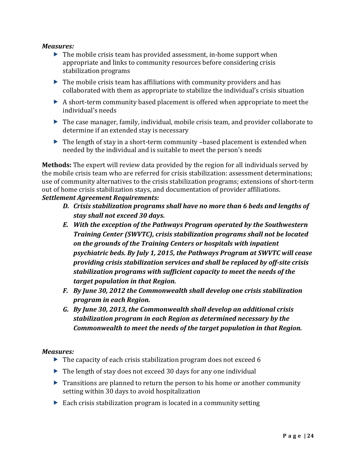#### *Measures:*

- $\triangleright$  The mobile crisis team has provided assessment, in-home support when appropriate and links to community resources before considering crisis stabilization programs
- $\triangleright$  The mobile crisis team has affiliations with community providers and has collaborated with them as appropriate to stabilize the individual's crisis situation
- $\triangleright$  A short-term community based placement is offered when appropriate to meet the individual's needs
- $\triangleright$  The case manager, family, individual, mobile crisis team, and provider collaborate to  $\blacksquare$ determine if an extended stay is necessary
- $\triangleright$  The length of stay in a short-term community –based placement is extended when needed by the individual and is suitable to meet the person's needs

**Methods:** The expert will review data provided by the region for all individuals served by the mobile crisis team who are referred for crisis stabilization: assessment determinations; use of community alternatives to the crisis stabilization programs; extensions of short-term out of home crisis stabilization stays, and documentation of provider affiliations. **Settlement Agreement Requirements:** 

- *D. Crisis stabilization programs shall have no more than 6 beds and lengths of* stay shall not exceed 30 days.
- **E.** With the exception of the Pathways Program operated by the Southwestern *Training Center (SWVTC), crisis stabilization programs shall not be located* **on the grounds of the Training Centers or hospitals with inpatient** psychiatric beds. By July 1, 2015, the Pathways Program at SWVTC will cease *providing crisis stabilization services and shall be replaced by off-site crisis stabilization programs with sufficient capacity to meet the needs of the target population in that Region.*
- *F.* By June 30, 2012 the Commonwealth shall develop one crisis stabilization *program in each Region.*
- *G. By(June(30,(2013,(the(Commonwealth(shall(develop(an(additional(crisis(* stabilization program in each Region as determined necessary by the *Commonwealth to meet the needs of the target population in that Region.*

#### *Measures:(*

- $\triangleright$  The capacity of each crisis stabilization program does not exceed 6
- $\triangleright$  The length of stay does not exceed 30 days for any one individual
- $\triangleright$  Transitions are planned to return the person to his home or another community setting within 30 days to avoid hospitalization
- $\triangleright$  Each crisis stabilization program is located in a community setting